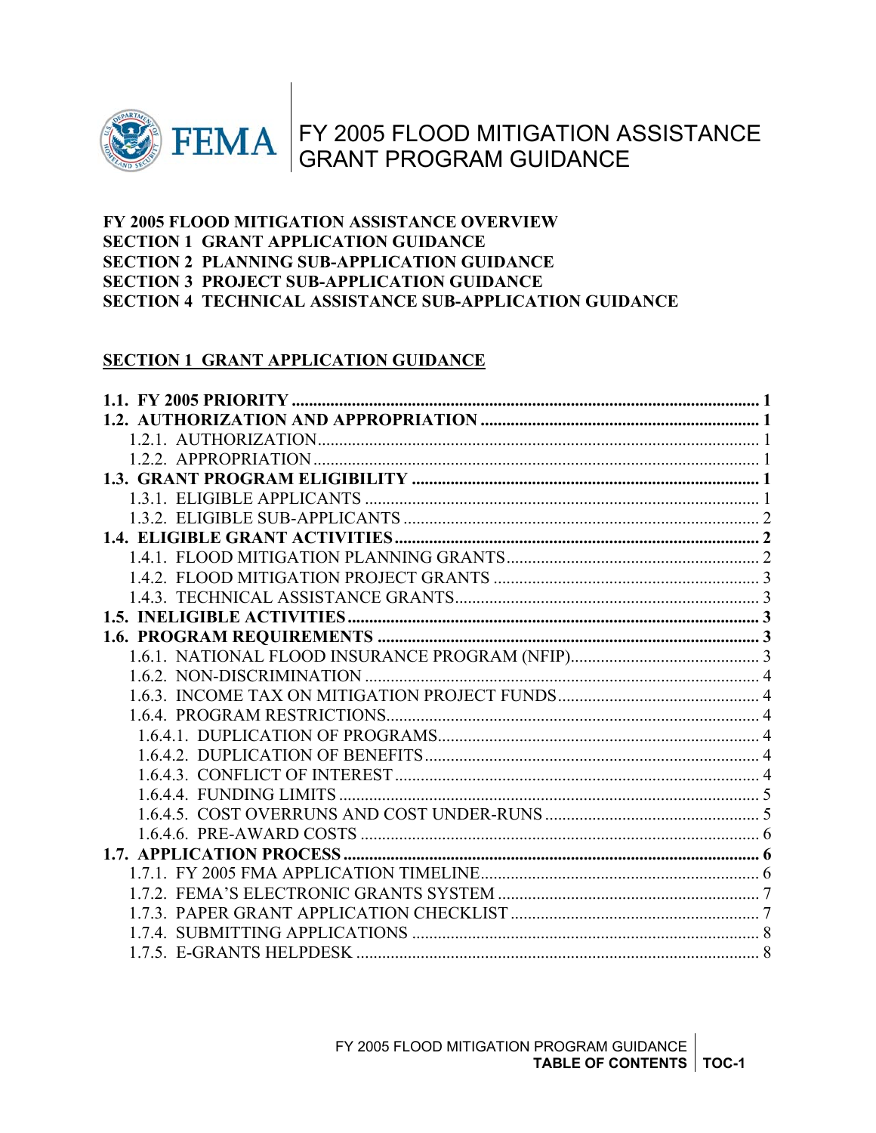

# FY 2005 FLOOD MITIGATION ASSISTANCE GRANT PROGRAM GUIDANCE

#### **FY 2005 FLOOD MITIGATION ASSISTANCE OVERVIEW SECTION 1 GRANT APPLICATION GUIDANCE SECTION 2 PLANNING SUB-APPLICATION GUIDANCE SECTION 3 PROJECT SUB-APPLICATION GUIDANCE SECTION 4 TECHNICAL ASSISTANCE SUB-APPLICATION GUIDANCE**

#### **SECTION 1 GRANT APPLICATION GUIDANCE**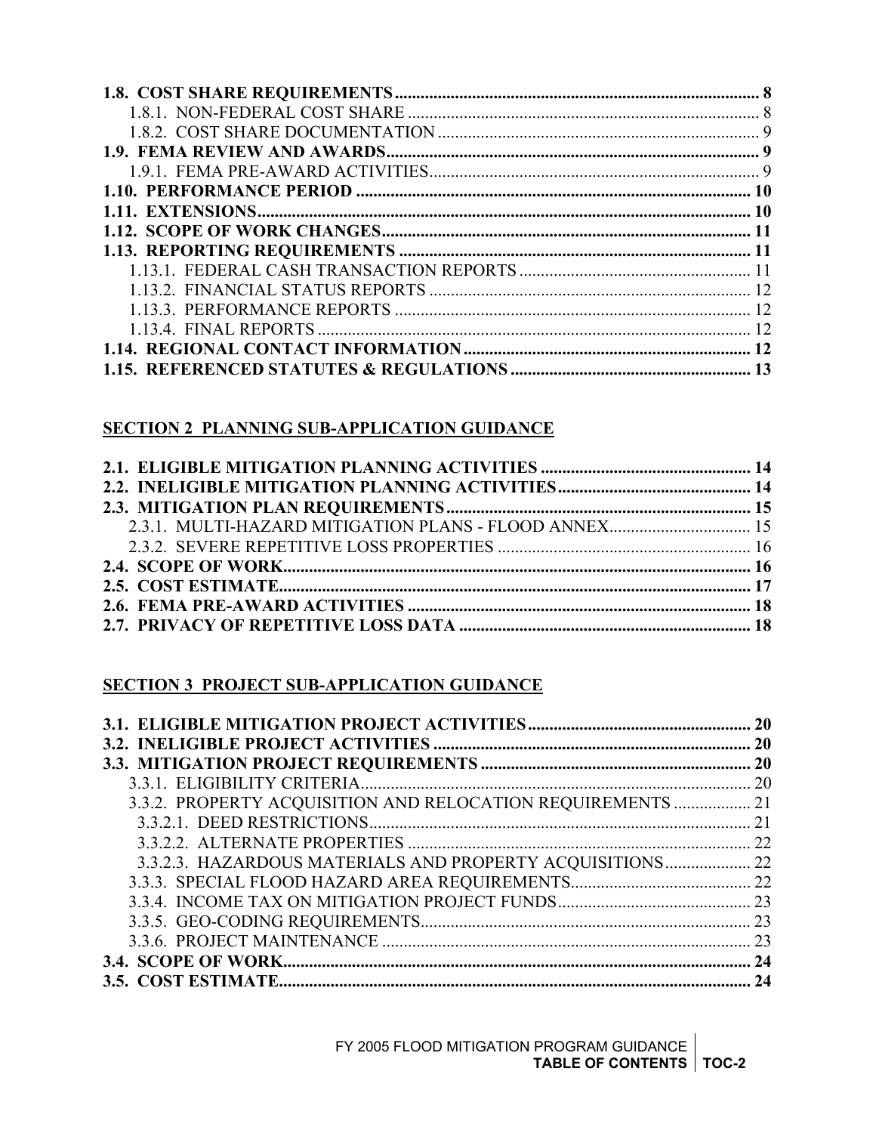#### **SECTION 2 PLANNING SUB-APPLICATION GUIDANCE**

| 2.3.1. MULTI-HAZARD MITIGATION PLANS - FLOOD ANNEX 15 |  |
|-------------------------------------------------------|--|
|                                                       |  |
|                                                       |  |
|                                                       |  |
|                                                       |  |
|                                                       |  |

#### **SECTION 3 PROJECT SUB-APPLICATION GUIDANCE**

|                                                             | <b>20</b> |
|-------------------------------------------------------------|-----------|
|                                                             |           |
|                                                             |           |
|                                                             |           |
| 3.3.2. PROPERTY ACQUISITION AND RELOCATION REQUIREMENTS  21 |           |
|                                                             |           |
|                                                             | 22        |
| 3.3.2.3. HAZARDOUS MATERIALS AND PROPERTY ACQUISITIONS 22   |           |
|                                                             |           |
|                                                             |           |
|                                                             |           |
|                                                             | 23        |
|                                                             | 24        |
|                                                             | 24        |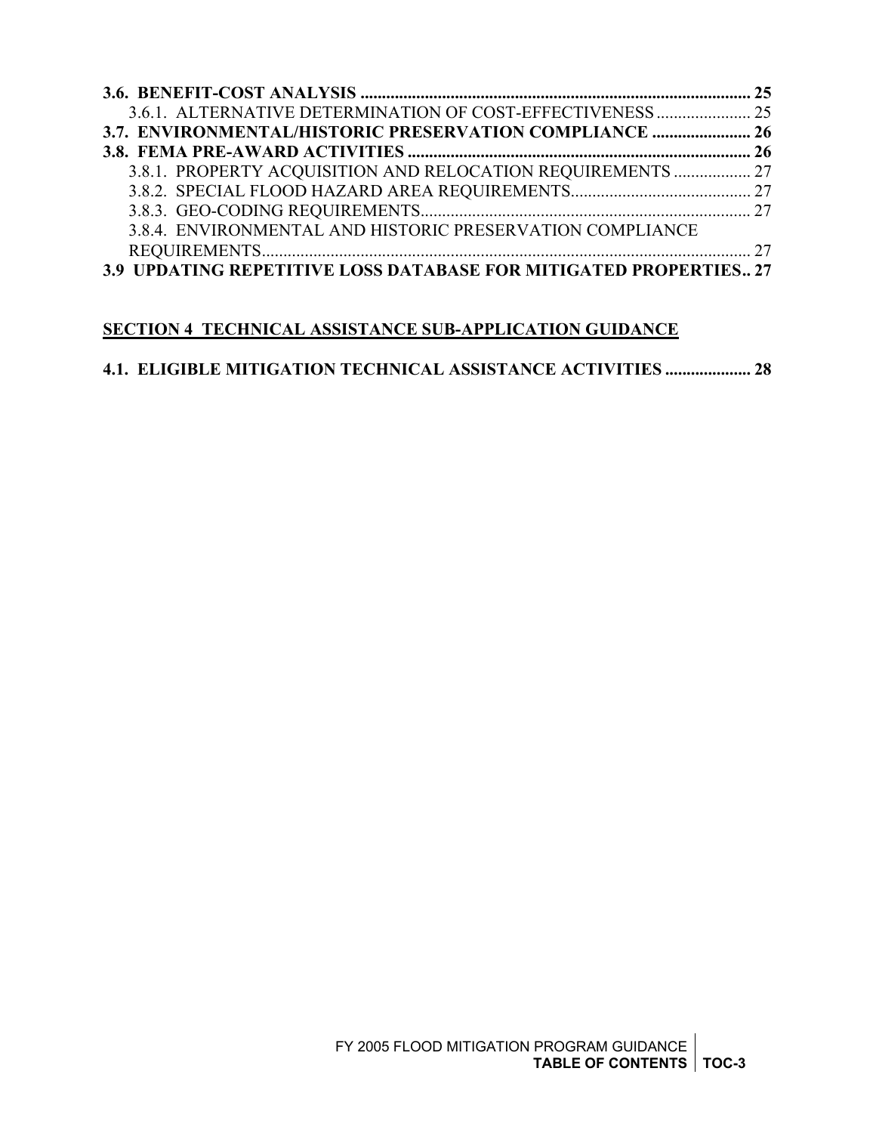| 3.6.1. ALTERNATIVE DETERMINATION OF COST-EFFECTIVENESS  25        |  |
|-------------------------------------------------------------------|--|
| 3.7. ENVIRONMENTAL/HISTORIC PRESERVATION COMPLIANCE  26           |  |
|                                                                   |  |
| 3.8.1. PROPERTY ACQUISITION AND RELOCATION REQUIREMENTS  27       |  |
|                                                                   |  |
|                                                                   |  |
| 3.8.4. ENVIRONMENTAL AND HISTORIC PRESERVATION COMPLIANCE         |  |
|                                                                   |  |
| 3.9 UPDATING REPETITIVE LOSS DATABASE FOR MITIGATED PROPERTIES 27 |  |

#### **SECTION 4 TECHNICAL ASSISTANCE SUB-APPLICATION GUIDANCE**

#### **[4.1. ELIGIBLE MITIGATION TECHNICAL ASSISTANCE ACTIVITIES](#page-32-0) .................... 28**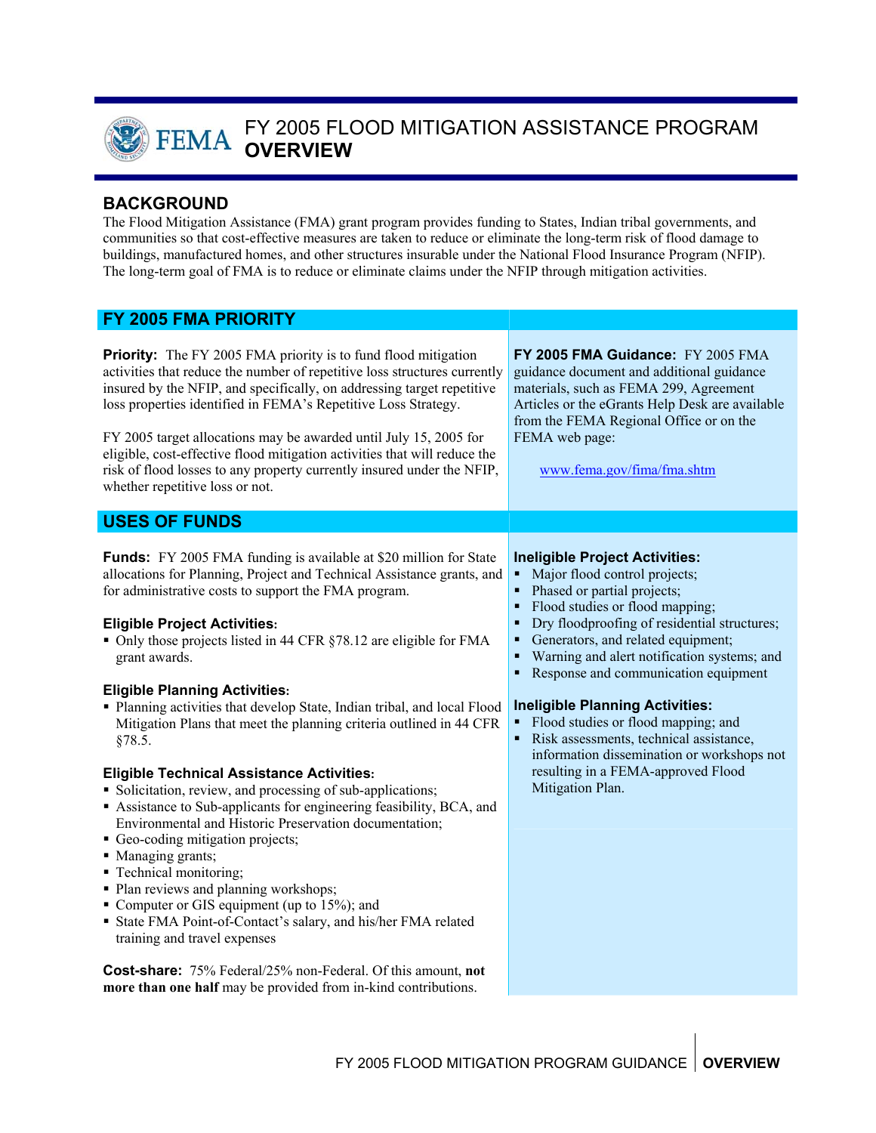

## FY 2005 FLOOD MITIGATION ASSISTANCE PROGRAM **OVERVIEW**

#### **BACKGROUND**

The Flood Mitigation Assistance (FMA) grant program provides funding to States, Indian tribal governments, and communities so that cost-effective measures are taken to reduce or eliminate the long-term risk of flood damage to buildings, manufactured homes, and other structures insurable under the National Flood Insurance Program (NFIP). The long-term goal of FMA is to reduce or eliminate claims under the NFIP through mitigation activities.

#### **FY 2005 FMA PRIORITY**

**Priority:** The FY 2005 FMA priority is to fund flood mitigation activities that reduce the number of repetitive loss structures currently insured by the NFIP, and specifically, on addressing target repetitive loss properties identified in FEMA's Repetitive Loss Strategy. **FY 2005 FMA Guidance:** FY 2005 FMA guidance document and additional guidance materials, such as FEMA 299, Agreement Articles or the eGrants Help Desk are available from the FEMA Regional Office or on the

FY 2005 target allocations may be awarded until July 15, 2005 for eligible, cost-effective flood mitigation activities that will reduce the risk of flood losses to any property currently insured under the NFIP, whether repetitive loss or not.

#### **USES OF FUNDS**

**Funds:** FY 2005 FMA funding is available at \$20 million for State allocations for Planning, Project and Technical Assistance grants, and for administrative costs to support the FMA program.

#### **Eligible Project Activities:**

• Only those projects listed in 44 CFR §78.12 are eligible for FMA grant awards.

#### **Eligible Planning Activities:**

 Planning activities that develop State, Indian tribal, and local Flood Mitigation Plans that meet the planning criteria outlined in 44 CFR §78.5.

#### **Eligible Technical Assistance Activities:**

- Solicitation, review, and processing of sub-applications;
- Assistance to Sub-applicants for engineering feasibility, BCA, and Environmental and Historic Preservation documentation;
- Geo-coding mitigation projects;
- Managing grants;
- Technical monitoring;
- Plan reviews and planning workshops;
- Computer or GIS equipment (up to 15%); and
- State FMA Point-of-Contact's salary, and his/her FMA related training and travel expenses

**Cost-share:** 75% Federal/25% non-Federal. Of this amount, **not more than one half** may be provided from in-kind contributions.

#### **Ineligible Project Activities:**

[www.fema.gov/fima/fma.shtm](http://www.fema.gov/fima/fma.shtm)

- Major flood control projects;
- Phased or partial projects;

FEMA web page:

- Flood studies or flood mapping;
- Dry floodproofing of residential structures;
- Generators, and related equipment;
- Warning and alert notification systems; and
- Response and communication equipment

#### **Ineligible Planning Activities:**

- Flood studies or flood mapping; and
- Risk assessments, technical assistance, information dissemination or workshops not resulting in a FEMA-approved Flood Mitigation Plan.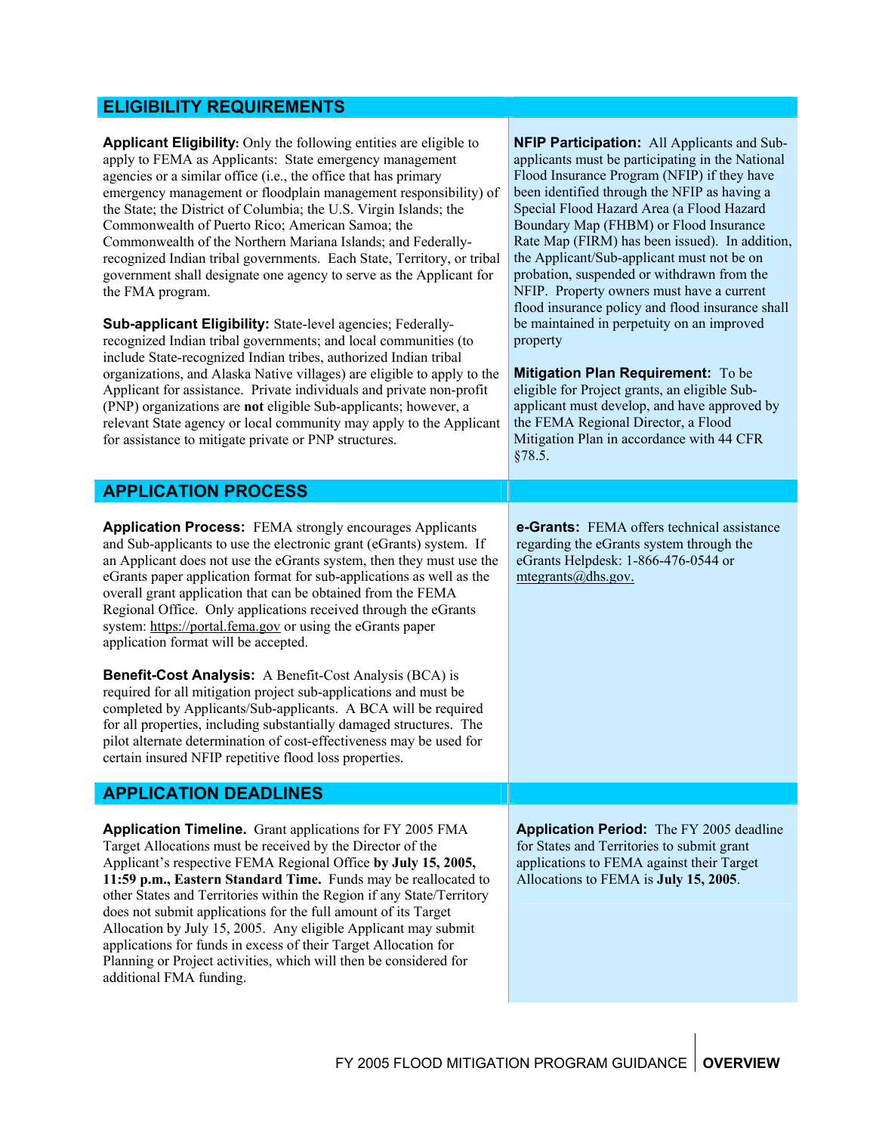#### **ELIGIBILITY REQUIREMENTS**

**Applicant Eligibility:** Only the following entities are eligible to apply to FEMA as Applicants: State emergency management agencies or a similar office (i.e., the office that has primary emergency management or floodplain management responsibility) of the State; the District of Columbia; the U.S. Virgin Islands; the Commonwealth of Puerto Rico; American Samoa; the Commonwealth of the Northern Mariana Islands; and Federallyrecognized Indian tribal governments. Each State, Territory, or tribal government shall designate one agency to serve as the Applicant for the FMA program.

**Sub-applicant Eligibility:** State-level agencies; Federallyrecognized Indian tribal governments; and local communities (to include State-recognized Indian tribes, authorized Indian tribal organizations, and Alaska Native villages) are eligible to apply to the Applicant for assistance. Private individuals and private non-profit (PNP) organizations are **not** eligible Sub-applicants; however, a relevant State agency or local community may apply to the Applicant for assistance to mitigate private or PNP structures.

**NFIP Participation:** All Applicants and Subapplicants must be participating in the National Flood Insurance Program (NFIP) if they have been identified through the NFIP as having a Special Flood Hazard Area (a Flood Hazard Boundary Map (FHBM) or Flood Insurance Rate Map (FIRM) has been issued). In addition, the Applicant/Sub-applicant must not be on probation, suspended or withdrawn from the NFIP. Property owners must have a current flood insurance policy and flood insurance shall be maintained in perpetuity on an improved property

**Mitigation Plan Requirement:** To be eligible for Project grants, an eligible Subapplicant must develop, and have approved by the FEMA Regional Director, a Flood Mitigation Plan in accordance with 44 CFR §78.5.

| <b>APPLICATION PROCESS</b> |  |
|----------------------------|--|
|                            |  |

**Application Process:** FEMA strongly encourages Applicants and Sub-applicants to use the electronic grant (eGrants) system. If an Applicant does not use the eGrants system, then they must use the eGrants paper application format for sub-applications as well as the overall grant application that can be obtained from the FEMA Regional Office. Only applications received through the eGrants system: [https://portal.fema.gov](https://portal.fema.gov/) or using the eGrants paper application format will be accepted.

**Benefit-Cost Analysis:** A Benefit-Cost Analysis (BCA) is required for all mitigation project sub-applications and must be completed by Applicants/Sub-applicants. A BCA will be required for all properties, including substantially damaged structures. The pilot alternate determination of cost-effectiveness may be used for certain insured NFIP repetitive flood loss properties.

#### **APPLICATION DEADLINES**

**Application Timeline.** Grant applications for FY 2005 FMA Target Allocations must be received by the Director of the Applicant's respective FEMA Regional Office **by July 15, 2005, 11:59 p.m., Eastern Standard Time.** Funds may be reallocated to other States and Territories within the Region if any State/Territory does not submit applications for the full amount of its Target Allocation by July 15, 2005. Any eligible Applicant may submit applications for funds in excess of their Target Allocation for Planning or Project activities, which will then be considered for additional FMA funding.

**e-Grants:** FEMA offers technical assistance regarding the eGrants system through the eGrants Helpdesk: 1-866-476-0544 or [mtegrants@dhs.gov](mailto:mtegrants@fema.gov).

**Application Period:** The FY 2005 deadline for States and Territories to submit grant applications to FEMA against their Target Allocations to FEMA is **July 15, 2005**.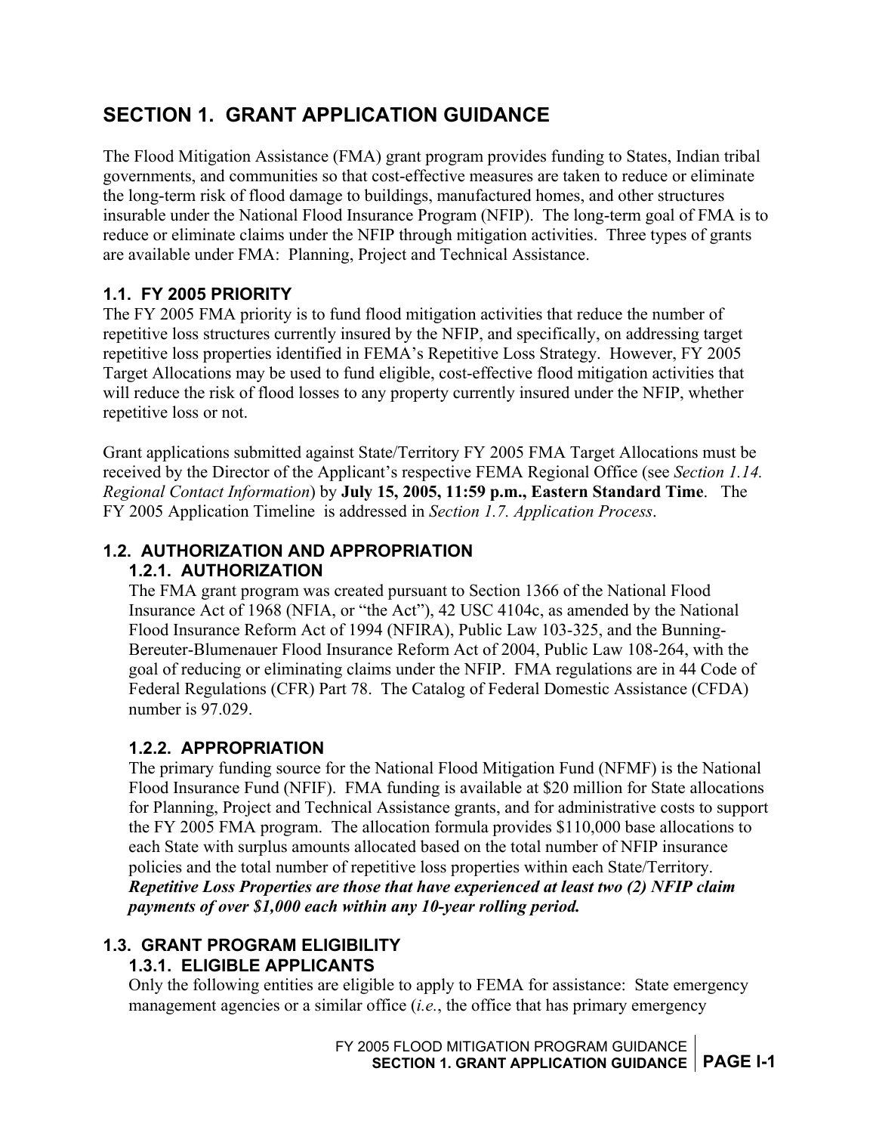# <span id="page-5-0"></span>**SECTION 1. GRANT APPLICATION GUIDANCE**

The Flood Mitigation Assistance (FMA) grant program provides funding to States, Indian tribal governments, and communities so that cost-effective measures are taken to reduce or eliminate the long-term risk of flood damage to buildings, manufactured homes, and other structures insurable under the National Flood Insurance Program (NFIP). The long-term goal of FMA is to reduce or eliminate claims under the NFIP through mitigation activities. Three types of grants are available under FMA: Planning, Project and Technical Assistance.

#### **1.1. FY 2005 PRIORITY**

The FY 2005 FMA priority is to fund flood mitigation activities that reduce the number of repetitive loss structures currently insured by the NFIP, and specifically, on addressing target repetitive loss properties identified in FEMA's Repetitive Loss Strategy. However, FY 2005 Target Allocations may be used to fund eligible, cost-effective flood mitigation activities that will reduce the risk of flood losses to any property currently insured under the NFIP, whether repetitive loss or not.

Grant applications submitted against State/Territory FY 2005 FMA Target Allocations must be received by the Director of the Applicant's respective FEMA Regional Office (see *Section 1.14. Regional Contact Information*) by **July 15, 2005, 11:59 p.m., Eastern Standard Time**. The FY 2005 Application Timeline is addressed in *Section 1.7. Application Process*.

#### **1.2. AUTHORIZATION AND APPROPRIATION 1.2.1. AUTHORIZATION**

The FMA grant program was created pursuant to Section 1366 of the National Flood Insurance Act of 1968 (NFIA, or "the Act"), 42 USC 4104c, as amended by the National Flood Insurance Reform Act of 1994 (NFIRA), Public Law 103-325, and the Bunning-Bereuter-Blumenauer Flood Insurance Reform Act of 2004, Public Law 108-264, with the goal of reducing or eliminating claims under the NFIP. FMA regulations are in 44 Code of Federal Regulations (CFR) Part 78. The Catalog of Federal Domestic Assistance (CFDA) number is 97.029.

#### **1.2.2. APPROPRIATION**

The primary funding source for the National Flood Mitigation Fund (NFMF) is the National Flood Insurance Fund (NFIF). FMA funding is available at \$20 million for State allocations for Planning, Project and Technical Assistance grants, and for administrative costs to support the FY 2005 FMA program. The allocation formula provides \$110,000 base allocations to each State with surplus amounts allocated based on the total number of NFIP insurance policies and the total number of repetitive loss properties within each State/Territory.

*Repetitive Loss Properties are those that have experienced at least two (2) NFIP claim payments of over \$1,000 each within any 10-year rolling period.* 

# **1.3. GRANT PROGRAM ELIGIBILITY**

**1.3.1. ELIGIBLE APPLICANTS**  Only the following entities are eligible to apply to FEMA for assistance: State emergency management agencies or a similar office (*i.e.*, the office that has primary emergency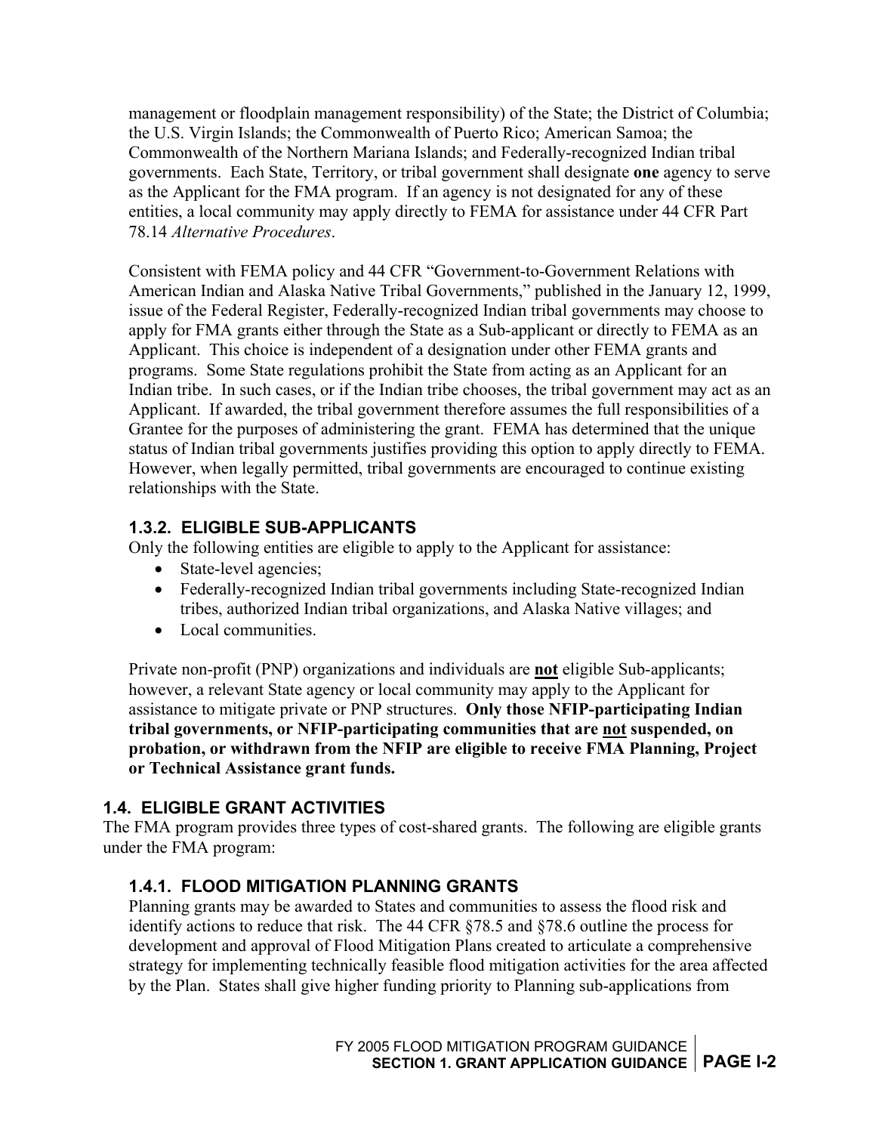<span id="page-6-0"></span>management or floodplain management responsibility) of the State; the District of Columbia; the U.S. Virgin Islands; the Commonwealth of Puerto Rico; American Samoa; the Commonwealth of the Northern Mariana Islands; and Federally-recognized Indian tribal governments. Each State, Territory, or tribal government shall designate **one** agency to serve as the Applicant for the FMA program. If an agency is not designated for any of these entities, a local community may apply directly to FEMA for assistance under 44 CFR Part 78.14 *Alternative Procedures*.

Consistent with FEMA policy and 44 CFR "Government-to-Government Relations with American Indian and Alaska Native Tribal Governments," published in the January 12, 1999, issue of the Federal Register, Federally-recognized Indian tribal governments may choose to apply for FMA grants either through the State as a Sub-applicant or directly to FEMA as an Applicant. This choice is independent of a designation under other FEMA grants and programs. Some State regulations prohibit the State from acting as an Applicant for an Indian tribe. In such cases, or if the Indian tribe chooses, the tribal government may act as an Applicant. If awarded, the tribal government therefore assumes the full responsibilities of a Grantee for the purposes of administering the grant. FEMA has determined that the unique status of Indian tribal governments justifies providing this option to apply directly to FEMA. However, when legally permitted, tribal governments are encouraged to continue existing relationships with the State.

### **1.3.2. ELIGIBLE SUB-APPLICANTS**

Only the following entities are eligible to apply to the Applicant for assistance:

- State-level agencies;
- Federally-recognized Indian tribal governments including State-recognized Indian tribes, authorized Indian tribal organizations, and Alaska Native villages; and
- Local communities.

Private non-profit (PNP) organizations and individuals are **not** eligible Sub-applicants; however, a relevant State agency or local community may apply to the Applicant for assistance to mitigate private or PNP structures. **Only those NFIP-participating Indian tribal governments, or NFIP-participating communities that are not suspended, on probation, or withdrawn from the NFIP are eligible to receive FMA Planning, Project or Technical Assistance grant funds.** 

#### **1.4. ELIGIBLE GRANT ACTIVITIES**

The FMA program provides three types of cost-shared grants. The following are eligible grants under the FMA program:

#### **1.4.1. FLOOD MITIGATION PLANNING GRANTS**

Planning grants may be awarded to States and communities to assess the flood risk and identify actions to reduce that risk. The 44 CFR §78.5 and §78.6 outline the process for development and approval of Flood Mitigation Plans created to articulate a comprehensive strategy for implementing technically feasible flood mitigation activities for the area affected by the Plan. States shall give higher funding priority to Planning sub-applications from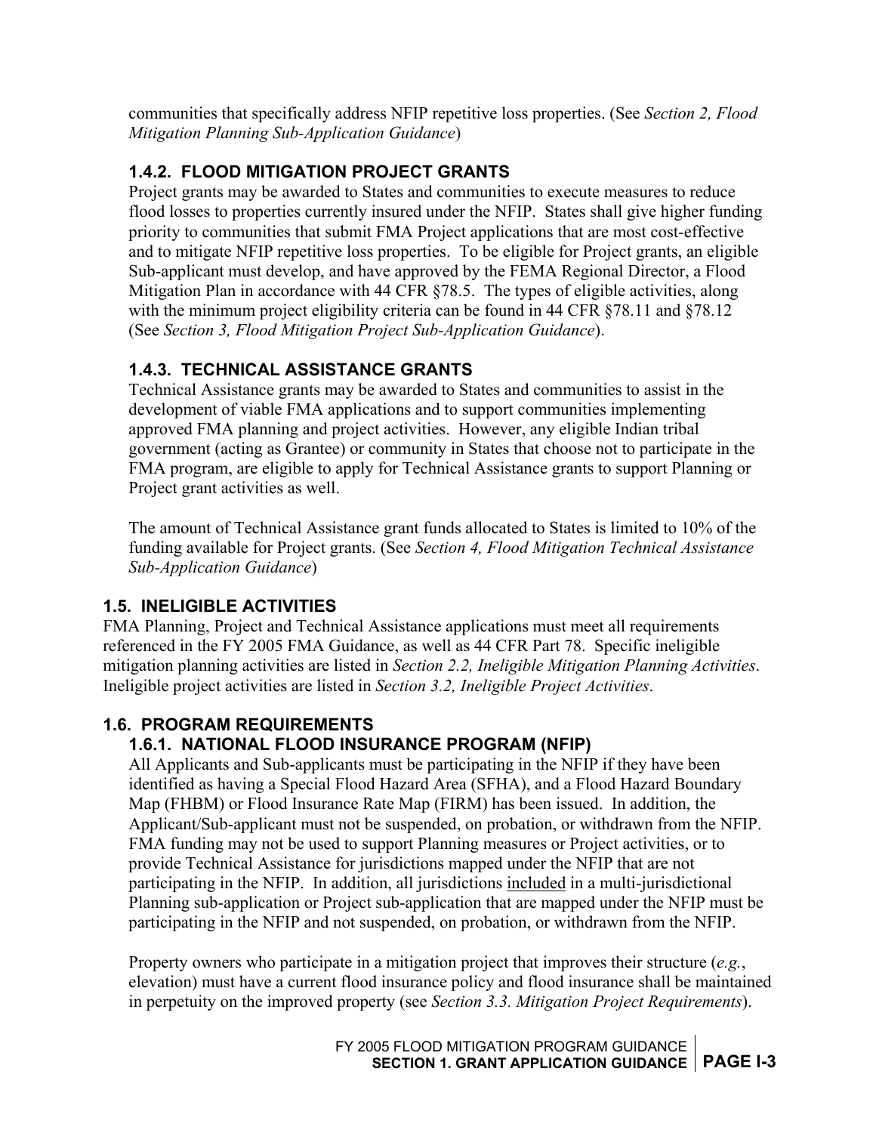<span id="page-7-0"></span>communities that specifically address NFIP repetitive loss properties. (See *Section 2, Flood Mitigation Planning Sub-Application Guidance*)

#### **1.4.2. FLOOD MITIGATION PROJECT GRANTS**

Project grants may be awarded to States and communities to execute measures to reduce flood losses to properties currently insured under the NFIP. States shall give higher funding priority to communities that submit FMA Project applications that are most cost-effective and to mitigate NFIP repetitive loss properties. To be eligible for Project grants, an eligible Sub-applicant must develop, and have approved by the FEMA Regional Director, a Flood Mitigation Plan in accordance with 44 CFR §78.5. The types of eligible activities, along with the minimum project eligibility criteria can be found in 44 CFR §78.11 and §78.12 (See *Section 3, Flood Mitigation Project Sub-Application Guidance*).

### **1.4.3. TECHNICAL ASSISTANCE GRANTS**

Technical Assistance grants may be awarded to States and communities to assist in the development of viable FMA applications and to support communities implementing approved FMA planning and project activities. However, any eligible Indian tribal government (acting as Grantee) or community in States that choose not to participate in the FMA program, are eligible to apply for Technical Assistance grants to support Planning or Project grant activities as well.

The amount of Technical Assistance grant funds allocated to States is limited to 10% of the funding available for Project grants. (See *Section 4, Flood Mitigation Technical Assistance Sub-Application Guidance*)

#### **1.5. INELIGIBLE ACTIVITIES**

FMA Planning, Project and Technical Assistance applications must meet all requirements referenced in the FY 2005 FMA Guidance, as well as 44 CFR Part 78. Specific ineligible mitigation planning activities are listed in *Section 2.2, Ineligible Mitigation Planning Activities*. Ineligible project activities are listed in *Section 3.2, Ineligible Project Activities*.

#### **1.6. PROGRAM REQUIREMENTS**

#### **1.6.1. NATIONAL FLOOD INSURANCE PROGRAM (NFIP)**

All Applicants and Sub-applicants must be participating in the NFIP if they have been identified as having a Special Flood Hazard Area (SFHA), and a Flood Hazard Boundary Map (FHBM) or Flood Insurance Rate Map (FIRM) has been issued. In addition, the Applicant/Sub-applicant must not be suspended, on probation, or withdrawn from the NFIP. FMA funding may not be used to support Planning measures or Project activities, or to provide Technical Assistance for jurisdictions mapped under the NFIP that are not participating in the NFIP. In addition, all jurisdictions included in a multi-jurisdictional Planning sub-application or Project sub-application that are mapped under the NFIP must be participating in the NFIP and not suspended, on probation, or withdrawn from the NFIP.

Property owners who participate in a mitigation project that improves their structure (*e.g.*, elevation) must have a current flood insurance policy and flood insurance shall be maintained in perpetuity on the improved property (see *Section 3.3. Mitigation Project Requirements*).

> FY 2005 FLOOD MITIGATION PROGRAM GUIDANCE **SECTION 1. GRANT APPLICATION GUIDANCE | PAGE I-3**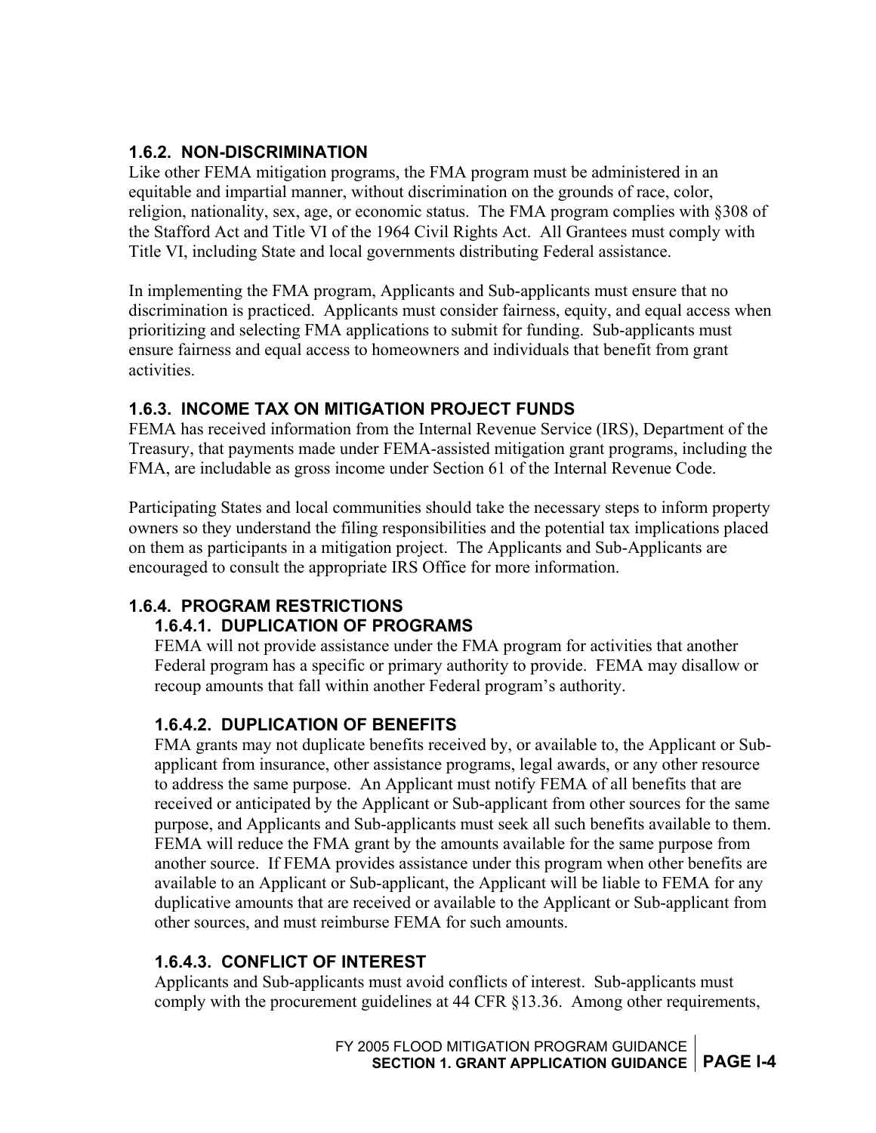#### <span id="page-8-0"></span>**1.6.2. NON-DISCRIMINATION**

Like other FEMA mitigation programs, the FMA program must be administered in an equitable and impartial manner, without discrimination on the grounds of race, color, religion, nationality, sex, age, or economic status. The FMA program complies with §308 of the Stafford Act and Title VI of the 1964 Civil Rights Act. All Grantees must comply with Title VI, including State and local governments distributing Federal assistance.

In implementing the FMA program, Applicants and Sub-applicants must ensure that no discrimination is practiced. Applicants must consider fairness, equity, and equal access when prioritizing and selecting FMA applications to submit for funding. Sub-applicants must ensure fairness and equal access to homeowners and individuals that benefit from grant activities.

#### **1.6.3. INCOME TAX ON MITIGATION PROJECT FUNDS**

FEMA has received information from the Internal Revenue Service (IRS), Department of the Treasury, that payments made under FEMA-assisted mitigation grant programs, including the FMA, are includable as gross income under Section 61 of the Internal Revenue Code.

Participating States and local communities should take the necessary steps to inform property owners so they understand the filing responsibilities and the potential tax implications placed on them as participants in a mitigation project. The Applicants and Sub-Applicants are encouraged to consult the appropriate IRS Office for more information.

#### **1.6.4. PROGRAM RESTRICTIONS**

#### **1.6.4.1. DUPLICATION OF PROGRAMS**

FEMA will not provide assistance under the FMA program for activities that another Federal program has a specific or primary authority to provide. FEMA may disallow or recoup amounts that fall within another Federal program's authority.

#### **1.6.4.2. DUPLICATION OF BENEFITS**

FMA grants may not duplicate benefits received by, or available to, the Applicant or Subapplicant from insurance, other assistance programs, legal awards, or any other resource to address the same purpose. An Applicant must notify FEMA of all benefits that are received or anticipated by the Applicant or Sub-applicant from other sources for the same purpose, and Applicants and Sub-applicants must seek all such benefits available to them. FEMA will reduce the FMA grant by the amounts available for the same purpose from another source. If FEMA provides assistance under this program when other benefits are available to an Applicant or Sub-applicant, the Applicant will be liable to FEMA for any duplicative amounts that are received or available to the Applicant or Sub-applicant from other sources, and must reimburse FEMA for such amounts.

#### **1.6.4.3. CONFLICT OF INTEREST**

Applicants and Sub-applicants must avoid conflicts of interest. Sub-applicants must comply with the procurement guidelines at 44 CFR §13.36. Among other requirements,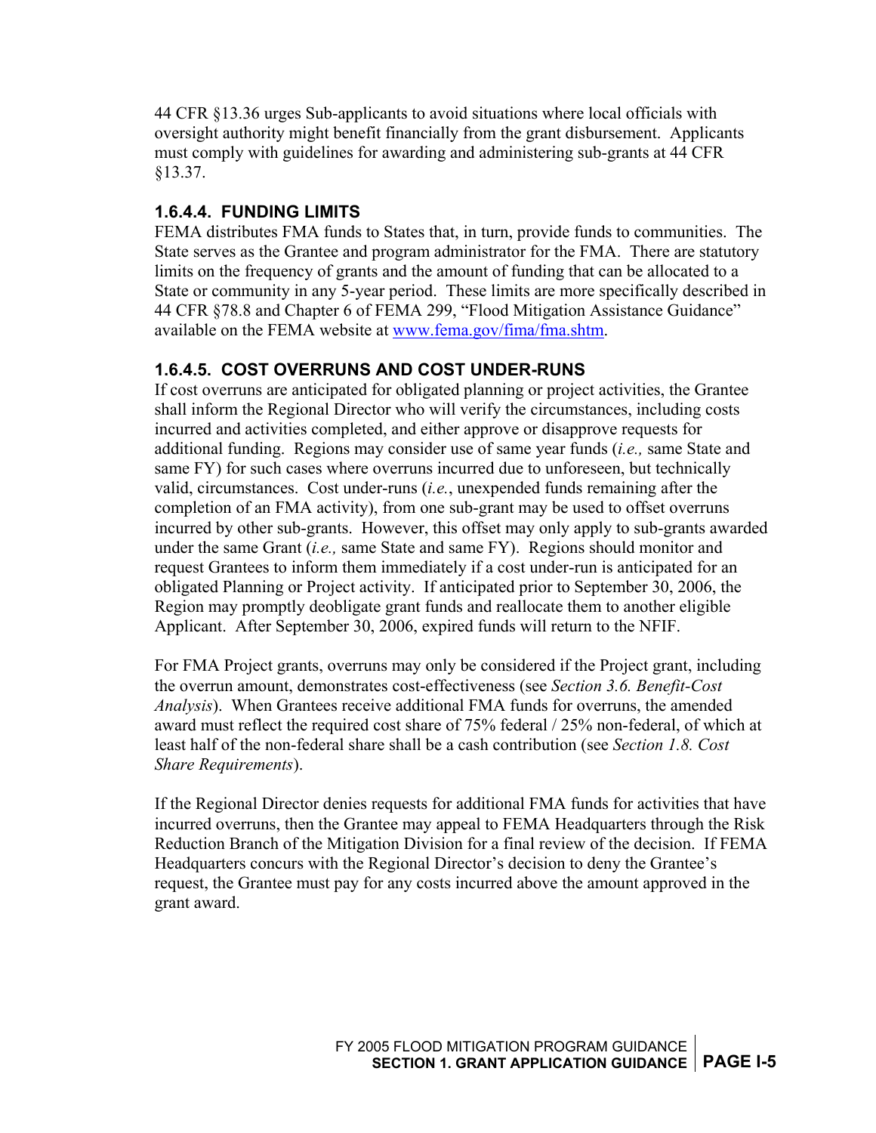<span id="page-9-0"></span>44 CFR §13.36 urges Sub-applicants to avoid situations where local officials with oversight authority might benefit financially from the grant disbursement. Applicants must comply with guidelines for awarding and administering sub-grants at 44 CFR §13.37.

#### **1.6.4.4. FUNDING LIMITS**

FEMA distributes FMA funds to States that, in turn, provide funds to communities. The State serves as the Grantee and program administrator for the FMA. There are statutory limits on the frequency of grants and the amount of funding that can be allocated to a State or community in any 5-year period. These limits are more specifically described in 44 CFR §78.8 and Chapter 6 of FEMA 299, "Flood Mitigation Assistance Guidance" available on the FEMA website at [www.fema.gov/fima/fma.shtm](http://www.fema.gov/fima/fma.shtm).

#### **1.6.4.5. COST OVERRUNS AND COST UNDER-RUNS**

If cost overruns are anticipated for obligated planning or project activities, the Grantee shall inform the Regional Director who will verify the circumstances, including costs incurred and activities completed, and either approve or disapprove requests for additional funding. Regions may consider use of same year funds (*i.e.,* same State and same FY) for such cases where overruns incurred due to unforeseen, but technically valid, circumstances. Cost under-runs (*i.e.*, unexpended funds remaining after the completion of an FMA activity), from one sub-grant may be used to offset overruns incurred by other sub-grants. However, this offset may only apply to sub-grants awarded under the same Grant (*i.e.,* same State and same FY). Regions should monitor and request Grantees to inform them immediately if a cost under-run is anticipated for an obligated Planning or Project activity. If anticipated prior to September 30, 2006, the Region may promptly deobligate grant funds and reallocate them to another eligible Applicant. After September 30, 2006, expired funds will return to the NFIF.

For FMA Project grants, overruns may only be considered if the Project grant, including the overrun amount, demonstrates cost-effectiveness (see *Section 3.6. Benefit-Cost Analysis*). When Grantees receive additional FMA funds for overruns, the amended award must reflect the required cost share of 75% federal / 25% non-federal, of which at least half of the non-federal share shall be a cash contribution (see *Section 1.8. Cost Share Requirements*).

If the Regional Director denies requests for additional FMA funds for activities that have incurred overruns, then the Grantee may appeal to FEMA Headquarters through the Risk Reduction Branch of the Mitigation Division for a final review of the decision. If FEMA Headquarters concurs with the Regional Director's decision to deny the Grantee's request, the Grantee must pay for any costs incurred above the amount approved in the grant award.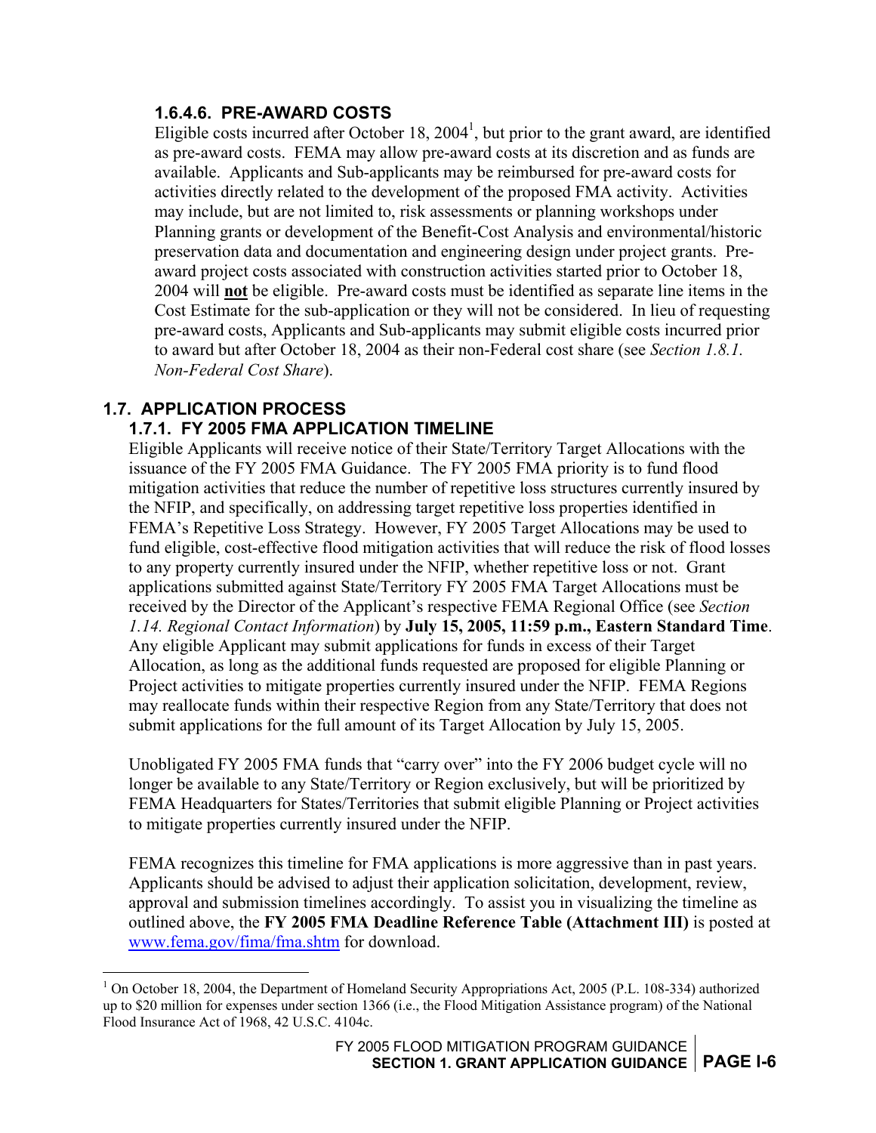#### <span id="page-10-0"></span>**1.6.4.6. PRE-AWARD COSTS**

Eligible costs incurred after October [1](#page-10-1)8,  $2004<sup>1</sup>$ , but prior to the grant award, are identified as pre-award costs. FEMA may allow pre-award costs at its discretion and as funds are available. Applicants and Sub-applicants may be reimbursed for pre-award costs for activities directly related to the development of the proposed FMA activity. Activities may include, but are not limited to, risk assessments or planning workshops under Planning grants or development of the Benefit-Cost Analysis and environmental/historic preservation data and documentation and engineering design under project grants. Preaward project costs associated with construction activities started prior to October 18, 2004 will **not** be eligible. Pre-award costs must be identified as separate line items in the Cost Estimate for the sub-application or they will not be considered. In lieu of requesting pre-award costs, Applicants and Sub-applicants may submit eligible costs incurred prior to award but after October 18, 2004 as their non-Federal cost share (see *Section 1.8.1. Non-Federal Cost Share*).

# **1.7. APPLICATION PROCESS**

 $\overline{a}$ 

#### **1.7.1. FY 2005 FMA APPLICATION TIMELINE**

Eligible Applicants will receive notice of their State/Territory Target Allocations with the issuance of the FY 2005 FMA Guidance. The FY 2005 FMA priority is to fund flood mitigation activities that reduce the number of repetitive loss structures currently insured by the NFIP, and specifically, on addressing target repetitive loss properties identified in FEMA's Repetitive Loss Strategy. However, FY 2005 Target Allocations may be used to fund eligible, cost-effective flood mitigation activities that will reduce the risk of flood losses to any property currently insured under the NFIP, whether repetitive loss or not. Grant applications submitted against State/Territory FY 2005 FMA Target Allocations must be received by the Director of the Applicant's respective FEMA Regional Office (see *Section 1.14. Regional Contact Information*) by **July 15, 2005, 11:59 p.m., Eastern Standard Time**. Any eligible Applicant may submit applications for funds in excess of their Target Allocation, as long as the additional funds requested are proposed for eligible Planning or Project activities to mitigate properties currently insured under the NFIP. FEMA Regions may reallocate funds within their respective Region from any State/Territory that does not submit applications for the full amount of its Target Allocation by July 15, 2005.

Unobligated FY 2005 FMA funds that "carry over" into the FY 2006 budget cycle will no longer be available to any State/Territory or Region exclusively, but will be prioritized by FEMA Headquarters for States/Territories that submit eligible Planning or Project activities to mitigate properties currently insured under the NFIP.

FEMA recognizes this timeline for FMA applications is more aggressive than in past years. Applicants should be advised to adjust their application solicitation, development, review, approval and submission timelines accordingly. To assist you in visualizing the timeline as outlined above, the **FY 2005 FMA Deadline Reference Table (Attachment III)** is posted at [www.fema.gov/fima/fma.shtm](http://www.fema.gov/fima/fma.shtm) for download.

<span id="page-10-1"></span><sup>&</sup>lt;sup>1</sup> On October 18, 2004, the Department of Homeland Security Appropriations Act, 2005 (P.L. 108-334) authorized up to \$20 million for expenses under section 1366 (i.e., the Flood Mitigation Assistance program) of the National Flood Insurance Act of 1968, 42 U.S.C. 4104c.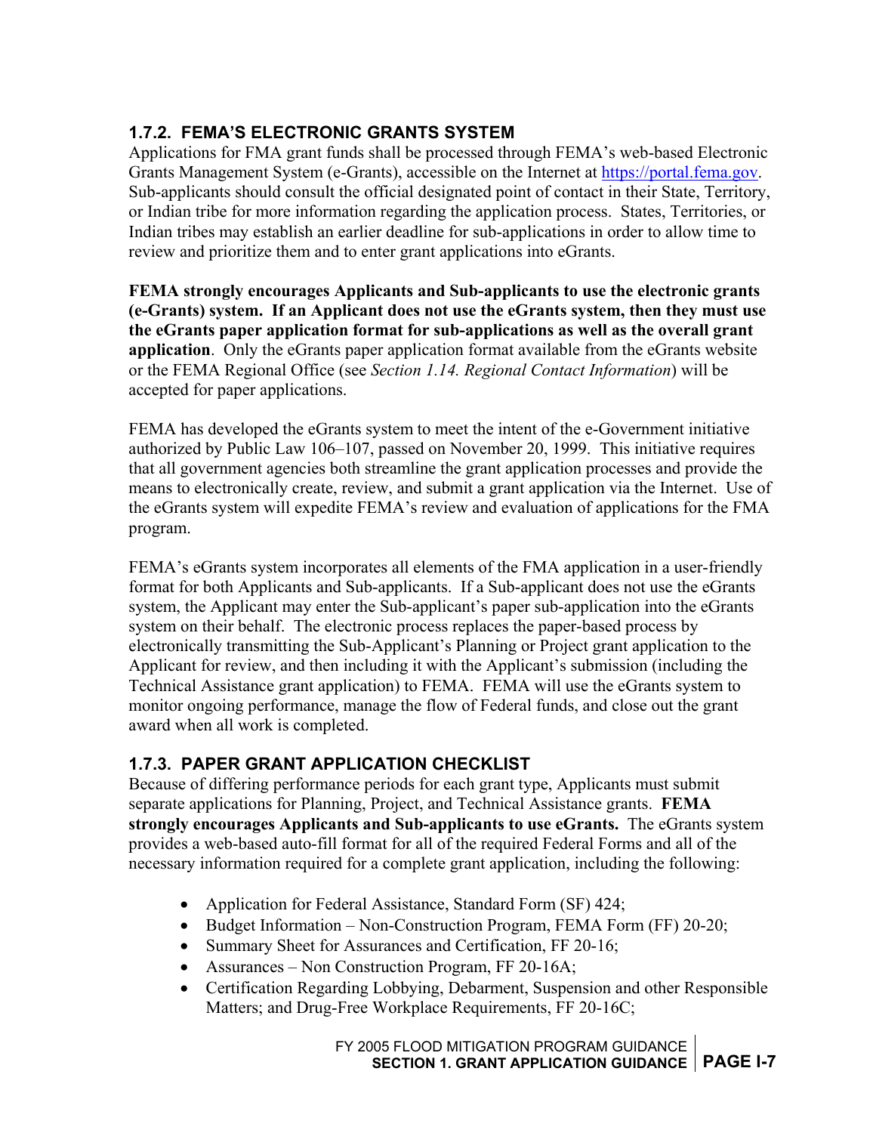#### <span id="page-11-0"></span>**1.7.2. FEMA'S ELECTRONIC GRANTS SYSTEM**

Applications for FMA grant funds shall be processed through FEMA's web-based Electronic Grants Management System (e-Grants), accessible on the Internet at [https://portal.fema.gov.](https://portal.fema.gov/) Sub-applicants should consult the official designated point of contact in their State, Territory, or Indian tribe for more information regarding the application process. States, Territories, or Indian tribes may establish an earlier deadline for sub-applications in order to allow time to review and prioritize them and to enter grant applications into eGrants.

**FEMA strongly encourages Applicants and Sub-applicants to use the electronic grants (e-Grants) system. If an Applicant does not use the eGrants system, then they must use the eGrants paper application format for sub-applications as well as the overall grant application**. Only the eGrants paper application format available from the eGrants website or the FEMA Regional Office (see *Section 1.14. Regional Contact Information*) will be accepted for paper applications.

FEMA has developed the eGrants system to meet the intent of the e-Government initiative authorized by Public Law 106–107, passed on November 20, 1999. This initiative requires that all government agencies both streamline the grant application processes and provide the means to electronically create, review, and submit a grant application via the Internet. Use of the eGrants system will expedite FEMA's review and evaluation of applications for the FMA program.

FEMA's eGrants system incorporates all elements of the FMA application in a user-friendly format for both Applicants and Sub-applicants. If a Sub-applicant does not use the eGrants system, the Applicant may enter the Sub-applicant's paper sub-application into the eGrants system on their behalf. The electronic process replaces the paper-based process by electronically transmitting the Sub-Applicant's Planning or Project grant application to the Applicant for review, and then including it with the Applicant's submission (including the Technical Assistance grant application) to FEMA. FEMA will use the eGrants system to monitor ongoing performance, manage the flow of Federal funds, and close out the grant award when all work is completed.

#### **1.7.3. PAPER GRANT APPLICATION CHECKLIST**

Because of differing performance periods for each grant type, Applicants must submit separate applications for Planning, Project, and Technical Assistance grants. **FEMA strongly encourages Applicants and Sub-applicants to use eGrants.** The eGrants system provides a web-based auto-fill format for all of the required Federal Forms and all of the necessary information required for a complete grant application, including the following:

- Application for Federal Assistance, Standard Form (SF) 424;
- Budget Information Non-Construction Program, FEMA Form (FF) 20-20;
- Summary Sheet for Assurances and Certification, FF 20-16;
- Assurances Non Construction Program, FF 20-16A;
- Certification Regarding Lobbying, Debarment, Suspension and other Responsible Matters; and Drug-Free Workplace Requirements, FF 20-16C;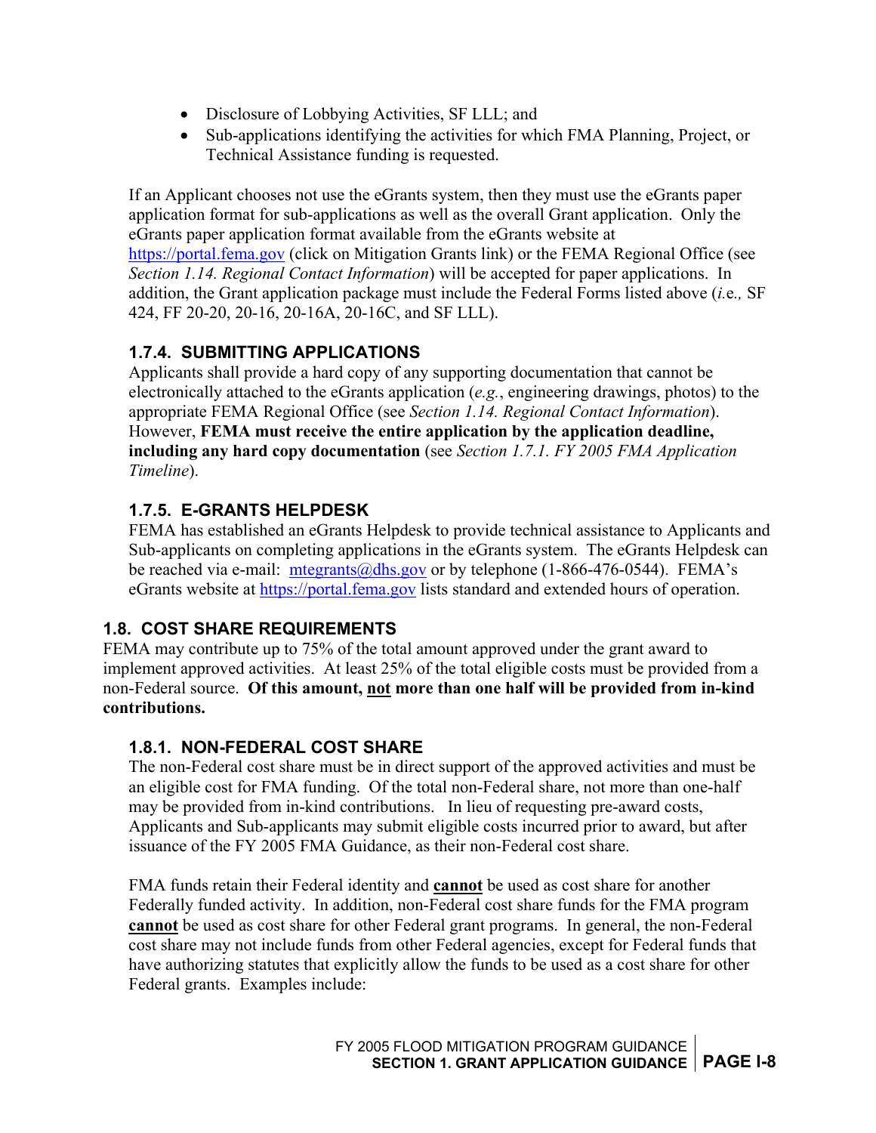- <span id="page-12-0"></span>• Disclosure of Lobbying Activities, SF LLL; and
- Sub-applications identifying the activities for which FMA Planning, Project, or Technical Assistance funding is requested.

If an Applicant chooses not use the eGrants system, then they must use the eGrants paper application format for sub-applications as well as the overall Grant application. Only the eGrants paper application format available from the eGrants website at [https://portal.fema.gov](https://portal.fema.gov/) (click on Mitigation Grants link) or the FEMA Regional Office (see *Section 1.14. Regional Contact Information*) will be accepted for paper applications. In addition, the Grant application package must include the Federal Forms listed above (*i.*e*.,* SF 424, FF 20-20, 20-16, 20-16A, 20-16C, and SF LLL).

#### **1.7.4. SUBMITTING APPLICATIONS**

Applicants shall provide a hard copy of any supporting documentation that cannot be electronically attached to the eGrants application (*e.g.*, engineering drawings, photos) to the appropriate FEMA Regional Office (see *Section 1.14. Regional Contact Information*). However, **FEMA must receive the entire application by the application deadline, including any hard copy documentation** (see *Section 1.7.1. FY 2005 FMA Application Timeline*).

#### **1.7.5. E-GRANTS HELPDESK**

FEMA has established an eGrants Helpdesk to provide technical assistance to Applicants and Sub-applicants on completing applications in the eGrants system. The eGrants Helpdesk can be reached via e-mail: mtegrants@dhs.gov or by telephone (1-866-476-0544). FEMA's eGrants website at [https://portal.fema.gov](https://portal.fema.gov/) lists standard and extended hours of operation.

#### **1.8. COST SHARE REQUIREMENTS**

FEMA may contribute up to 75% of the total amount approved under the grant award to implement approved activities. At least 25% of the total eligible costs must be provided from a non-Federal source. **Of this amount, not more than one half will be provided from in-kind contributions.**

#### **1.8.1. NON-FEDERAL COST SHARE**

The non-Federal cost share must be in direct support of the approved activities and must be an eligible cost for FMA funding. Of the total non-Federal share, not more than one-half may be provided from in-kind contributions. In lieu of requesting pre-award costs, Applicants and Sub-applicants may submit eligible costs incurred prior to award, but after issuance of the FY 2005 FMA Guidance, as their non-Federal cost share.

FMA funds retain their Federal identity and **cannot** be used as cost share for another Federally funded activity. In addition, non-Federal cost share funds for the FMA program **cannot** be used as cost share for other Federal grant programs. In general, the non-Federal cost share may not include funds from other Federal agencies, except for Federal funds that have authorizing statutes that explicitly allow the funds to be used as a cost share for other Federal grants. Examples include: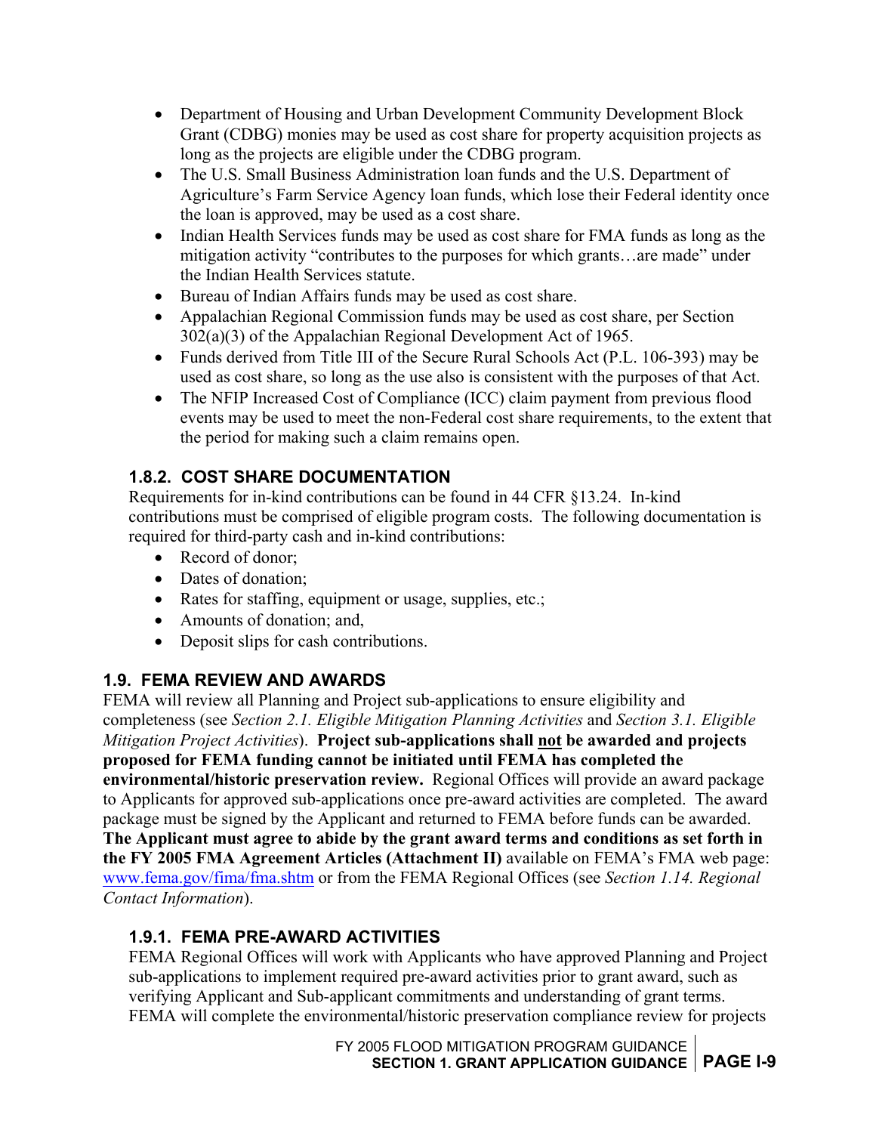- <span id="page-13-0"></span>• Department of Housing and Urban Development Community Development Block Grant (CDBG) monies may be used as cost share for property acquisition projects as long as the projects are eligible under the CDBG program.
- The U.S. Small Business Administration loan funds and the U.S. Department of Agriculture's Farm Service Agency loan funds, which lose their Federal identity once the loan is approved, may be used as a cost share.
- Indian Health Services funds may be used as cost share for FMA funds as long as the mitigation activity "contributes to the purposes for which grants…are made" under the Indian Health Services statute.
- Bureau of Indian Affairs funds may be used as cost share.
- Appalachian Regional Commission funds may be used as cost share, per Section 302(a)(3) of the Appalachian Regional Development Act of 1965.
- Funds derived from Title III of the Secure Rural Schools Act (P.L. 106-393) may be used as cost share, so long as the use also is consistent with the purposes of that Act.
- The NFIP Increased Cost of Compliance (ICC) claim payment from previous flood events may be used to meet the non-Federal cost share requirements, to the extent that the period for making such a claim remains open.

### **1.8.2. COST SHARE DOCUMENTATION**

Requirements for in-kind contributions can be found in 44 CFR §13.24. In-kind contributions must be comprised of eligible program costs. The following documentation is required for third-party cash and in-kind contributions:

- Record of donor;
- Dates of donation:
- Rates for staffing, equipment or usage, supplies, etc.;
- Amounts of donation; and,
- Deposit slips for cash contributions.

### **1.9. FEMA REVIEW AND AWARDS**

FEMA will review all Planning and Project sub-applications to ensure eligibility and completeness (see *Section 2.1. Eligible Mitigation Planning Activities* and *Section 3.1. Eligible Mitigation Project Activities*). **Project sub-applications shall not be awarded and projects proposed for FEMA funding cannot be initiated until FEMA has completed the environmental/historic preservation review.** Regional Offices will provide an award package to Applicants for approved sub-applications once pre-award activities are completed. The award package must be signed by the Applicant and returned to FEMA before funds can be awarded. **The Applicant must agree to abide by the grant award terms and conditions as set forth in the FY 2005 FMA Agreement Articles (Attachment II)** available on FEMA's FMA web page: [www.fema.gov/fima/fma.shtm](http://www.fema.gov/fima/fma.shtm) or from the FEMA Regional Offices (see *Section 1.14. Regional Contact Information*).

# **1.9.1. FEMA PRE-AWARD ACTIVITIES**

FEMA Regional Offices will work with Applicants who have approved Planning and Project sub-applications to implement required pre-award activities prior to grant award, such as verifying Applicant and Sub-applicant commitments and understanding of grant terms. FEMA will complete the environmental/historic preservation compliance review for projects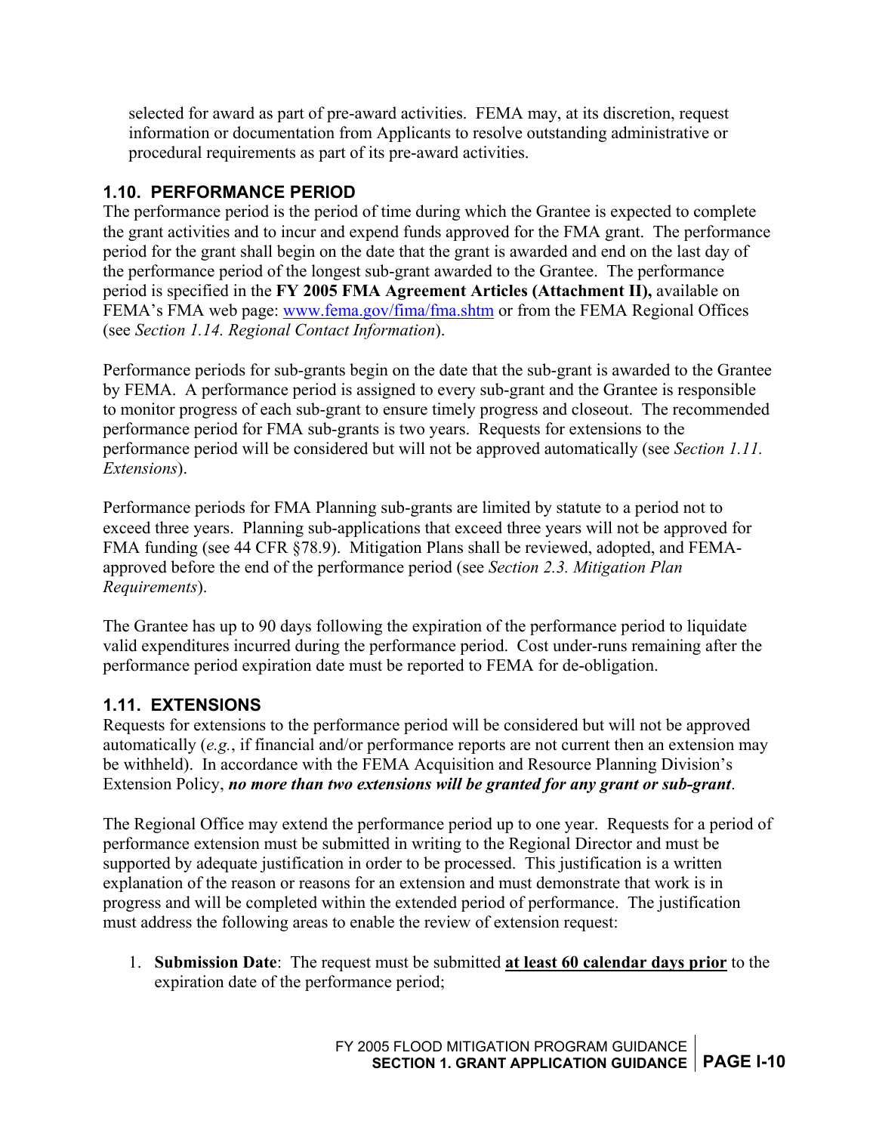<span id="page-14-0"></span>selected for award as part of pre-award activities. FEMA may, at its discretion, request information or documentation from Applicants to resolve outstanding administrative or procedural requirements as part of its pre-award activities.

#### **1.10. PERFORMANCE PERIOD**

The performance period is the period of time during which the Grantee is expected to complete the grant activities and to incur and expend funds approved for the FMA grant. The performance period for the grant shall begin on the date that the grant is awarded and end on the last day of the performance period of the longest sub-grant awarded to the Grantee. The performance period is specified in the **FY 2005 FMA Agreement Articles (Attachment II),** available on FEMA's FMA web page: [www.fema.gov/fima/fma.shtm](http://www.fema.gov/fima/fma.shtm) or from the FEMA Regional Offices (see *Section 1.14. Regional Contact Information*).

Performance periods for sub-grants begin on the date that the sub-grant is awarded to the Grantee by FEMA. A performance period is assigned to every sub-grant and the Grantee is responsible to monitor progress of each sub-grant to ensure timely progress and closeout. The recommended performance period for FMA sub-grants is two years. Requests for extensions to the performance period will be considered but will not be approved automatically (see *Section 1.11. Extensions*).

Performance periods for FMA Planning sub-grants are limited by statute to a period not to exceed three years. Planning sub-applications that exceed three years will not be approved for FMA funding (see 44 CFR §78.9). Mitigation Plans shall be reviewed, adopted, and FEMAapproved before the end of the performance period (see *Section 2.3. Mitigation Plan Requirements*).

The Grantee has up to 90 days following the expiration of the performance period to liquidate valid expenditures incurred during the performance period. Cost under-runs remaining after the performance period expiration date must be reported to FEMA for de-obligation.

#### **1.11. EXTENSIONS**

Requests for extensions to the performance period will be considered but will not be approved automatically (*e.g.*, if financial and/or performance reports are not current then an extension may be withheld). In accordance with the FEMA Acquisition and Resource Planning Division's Extension Policy, *no more than two extensions will be granted for any grant or sub-grant*.

The Regional Office may extend the performance period up to one year. Requests for a period of performance extension must be submitted in writing to the Regional Director and must be supported by adequate justification in order to be processed. This justification is a written explanation of the reason or reasons for an extension and must demonstrate that work is in progress and will be completed within the extended period of performance. The justification must address the following areas to enable the review of extension request:

1. **Submission Date**: The request must be submitted **at least 60 calendar days prior** to the expiration date of the performance period;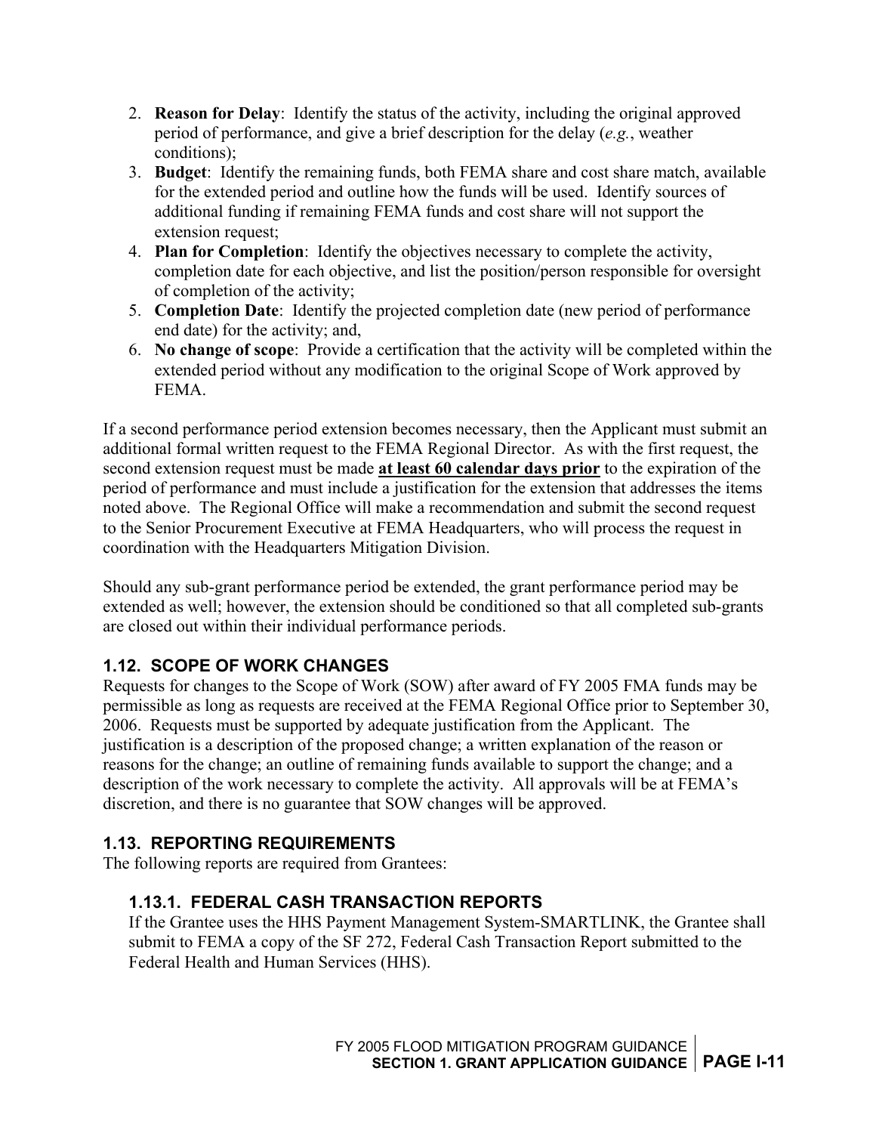- <span id="page-15-0"></span>2. **Reason for Delay**: Identify the status of the activity, including the original approved period of performance, and give a brief description for the delay (*e.g.*, weather conditions);
- 3. **Budget**: Identify the remaining funds, both FEMA share and cost share match, available for the extended period and outline how the funds will be used. Identify sources of additional funding if remaining FEMA funds and cost share will not support the extension request;
- 4. **Plan for Completion**: Identify the objectives necessary to complete the activity, completion date for each objective, and list the position/person responsible for oversight of completion of the activity;
- 5. **Completion Date**: Identify the projected completion date (new period of performance end date) for the activity; and,
- 6. **No change of scope**: Provide a certification that the activity will be completed within the extended period without any modification to the original Scope of Work approved by **FEMA**

If a second performance period extension becomes necessary, then the Applicant must submit an additional formal written request to the FEMA Regional Director. As with the first request, the second extension request must be made **at least 60 calendar days prior** to the expiration of the period of performance and must include a justification for the extension that addresses the items noted above. The Regional Office will make a recommendation and submit the second request to the Senior Procurement Executive at FEMA Headquarters, who will process the request in coordination with the Headquarters Mitigation Division.

Should any sub-grant performance period be extended, the grant performance period may be extended as well; however, the extension should be conditioned so that all completed sub-grants are closed out within their individual performance periods.

#### **1.12. SCOPE OF WORK CHANGES**

Requests for changes to the Scope of Work (SOW) after award of FY 2005 FMA funds may be permissible as long as requests are received at the FEMA Regional Office prior to September 30, 2006. Requests must be supported by adequate justification from the Applicant. The justification is a description of the proposed change; a written explanation of the reason or reasons for the change; an outline of remaining funds available to support the change; and a description of the work necessary to complete the activity. All approvals will be at FEMA's discretion, and there is no guarantee that SOW changes will be approved.

#### **1.13. REPORTING REQUIREMENTS**

The following reports are required from Grantees:

#### **1.13.1. FEDERAL CASH TRANSACTION REPORTS**

If the Grantee uses the HHS Payment Management System-SMARTLINK, the Grantee shall submit to FEMA a copy of the SF 272, Federal Cash Transaction Report submitted to the Federal Health and Human Services (HHS).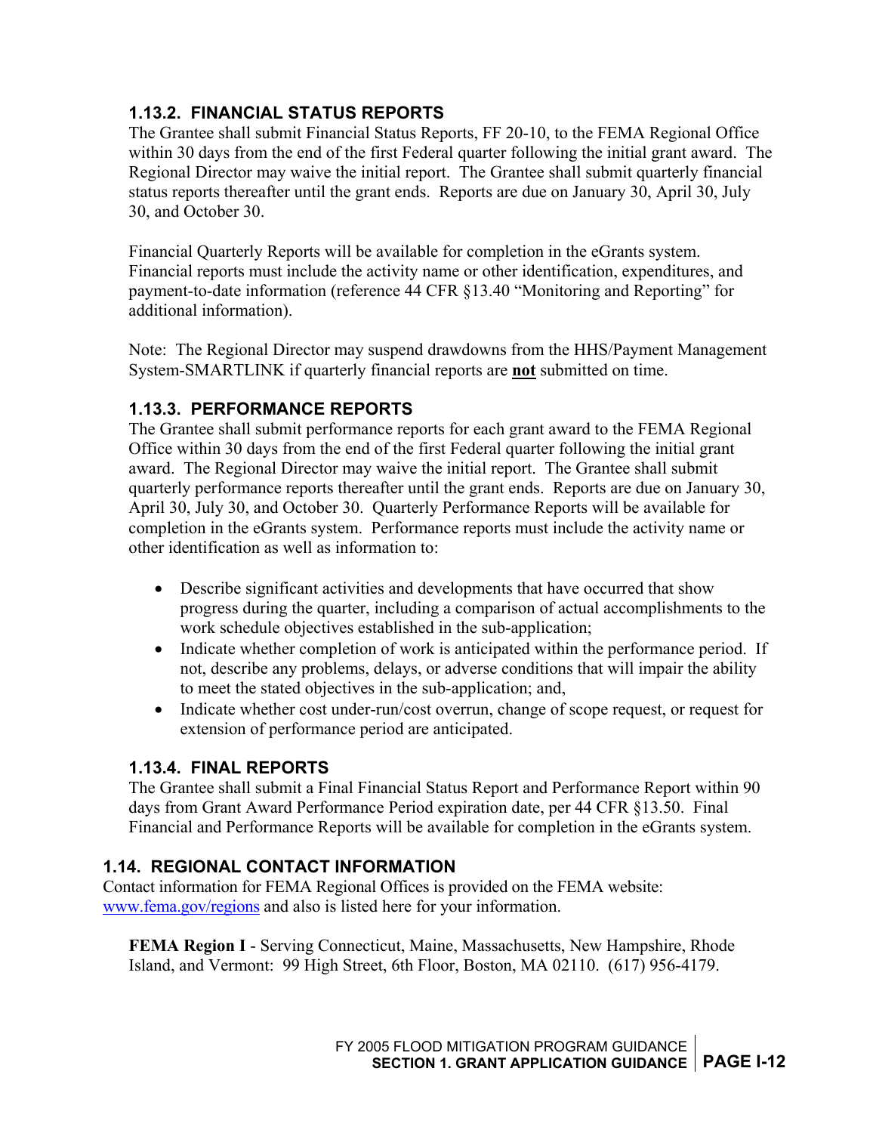#### <span id="page-16-0"></span>**1.13.2. FINANCIAL STATUS REPORTS**

The Grantee shall submit Financial Status Reports, FF 20-10, to the FEMA Regional Office within 30 days from the end of the first Federal quarter following the initial grant award. The Regional Director may waive the initial report. The Grantee shall submit quarterly financial status reports thereafter until the grant ends. Reports are due on January 30, April 30, July 30, and October 30.

Financial Quarterly Reports will be available for completion in the eGrants system. Financial reports must include the activity name or other identification, expenditures, and payment-to-date information (reference 44 CFR §13.40 "Monitoring and Reporting" for additional information).

Note: The Regional Director may suspend drawdowns from the HHS/Payment Management System-SMARTLINK if quarterly financial reports are **not** submitted on time.

#### **1.13.3. PERFORMANCE REPORTS**

The Grantee shall submit performance reports for each grant award to the FEMA Regional Office within 30 days from the end of the first Federal quarter following the initial grant award. The Regional Director may waive the initial report. The Grantee shall submit quarterly performance reports thereafter until the grant ends. Reports are due on January 30, April 30, July 30, and October 30. Quarterly Performance Reports will be available for completion in the eGrants system. Performance reports must include the activity name or other identification as well as information to:

- Describe significant activities and developments that have occurred that show progress during the quarter, including a comparison of actual accomplishments to the work schedule objectives established in the sub-application;
- Indicate whether completion of work is anticipated within the performance period. If not, describe any problems, delays, or adverse conditions that will impair the ability to meet the stated objectives in the sub-application; and,
- Indicate whether cost under-run/cost overrun, change of scope request, or request for extension of performance period are anticipated.

#### **1.13.4. FINAL REPORTS**

The Grantee shall submit a Final Financial Status Report and Performance Report within 90 days from Grant Award Performance Period expiration date, per 44 CFR §13.50. Final Financial and Performance Reports will be available for completion in the eGrants system.

#### **1.14. REGIONAL CONTACT INFORMATION**

Contact information for FEMA Regional Offices is provided on the FEMA website: [www.fema.gov/regions](http://www.fema.gov/regions) and also is listed here for your information.

**FEMA Region I** - Serving Connecticut, Maine, Massachusetts, New Hampshire, Rhode Island, and Vermont: 99 High Street, 6th Floor, Boston, MA 02110. (617) 956-4179.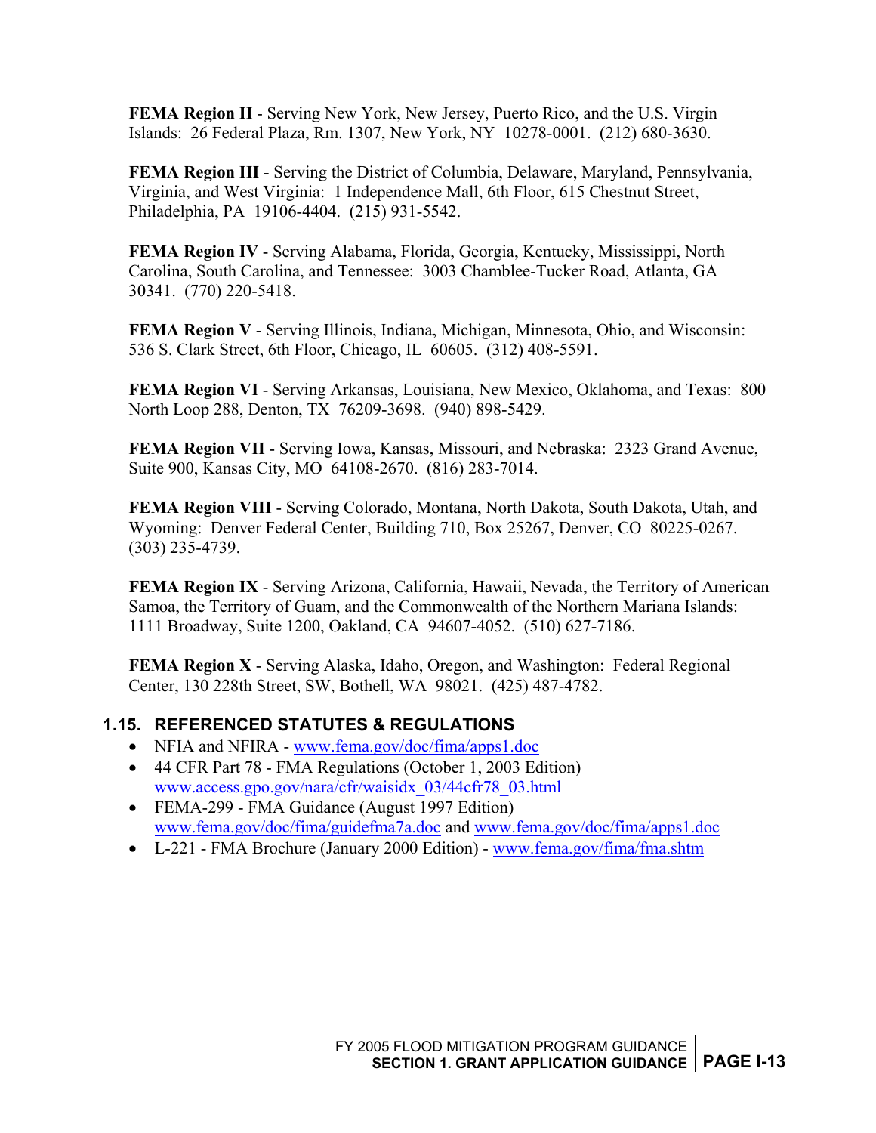<span id="page-17-0"></span>**FEMA Region II** - Serving New York, New Jersey, Puerto Rico, and the U.S. Virgin Islands: 26 Federal Plaza, Rm. 1307, New York, NY 10278-0001. (212) 680-3630.

**FEMA Region III** - Serving the District of Columbia, Delaware, Maryland, Pennsylvania, Virginia, and West Virginia: 1 Independence Mall, 6th Floor, 615 Chestnut Street, Philadelphia, PA 19106-4404. (215) 931-5542.

**FEMA Region IV** - Serving Alabama, Florida, Georgia, Kentucky, Mississippi, North Carolina, South Carolina, and Tennessee: 3003 Chamblee-Tucker Road, Atlanta, GA 30341. (770) 220-5418.

**FEMA Region V** - Serving Illinois, Indiana, Michigan, Minnesota, Ohio, and Wisconsin: 536 S. Clark Street, 6th Floor, Chicago, IL 60605. (312) 408-5591.

**FEMA Region VI** - Serving Arkansas, Louisiana, New Mexico, Oklahoma, and Texas: 800 North Loop 288, Denton, TX 76209-3698. (940) 898-5429.

**FEMA Region VII** - Serving Iowa, Kansas, Missouri, and Nebraska: 2323 Grand Avenue, Suite 900, Kansas City, MO 64108-2670. (816) 283-7014.

**FEMA Region VIII** - Serving Colorado, Montana, North Dakota, South Dakota, Utah, and Wyoming: Denver Federal Center, Building 710, Box 25267, Denver, CO 80225-0267. (303) 235-4739.

**FEMA Region IX** - Serving Arizona, California, Hawaii, Nevada, the Territory of American Samoa, the Territory of Guam, and the Commonwealth of the Northern Mariana Islands: 1111 Broadway, Suite 1200, Oakland, CA 94607-4052. (510) 627-7186.

**FEMA Region X** - Serving Alaska, Idaho, Oregon, and Washington: Federal Regional Center, 130 228th Street, SW, Bothell, WA 98021. (425) 487-4782.

#### **1.15. REFERENCED STATUTES & REGULATIONS**

- NFIA and NFIRA - [www.fema.gov/doc/fima/apps1.doc](http://www.fema.gov/doc/fima/apps1.doc)
- 44 CFR Part 78 FMA Regulations (October 1, 2003 Edition) [www.access.gpo.gov/nara/cfr/waisidx\\_03/44cfr78\\_03.html](http://www.access.gpo.gov/nara/cfr/waisidx_03/44cfr78_03.html)
- FEMA-299 FMA Guidance (August 1997 Edition) [www.fema.gov/doc/fima/guidefma7a.doc](http://www.fema.gov/doc/fima/guidefma7a.doc) and [www.fema.gov/doc/fima/apps1.doc](http://www.fema.gov/doc/fima/apps1.doc)
- L-221 FMA Brochure (January 2000 Edition) [www.fema.gov/fima/fma.shtm](http://www.fema.gov/fima/fma.shtm)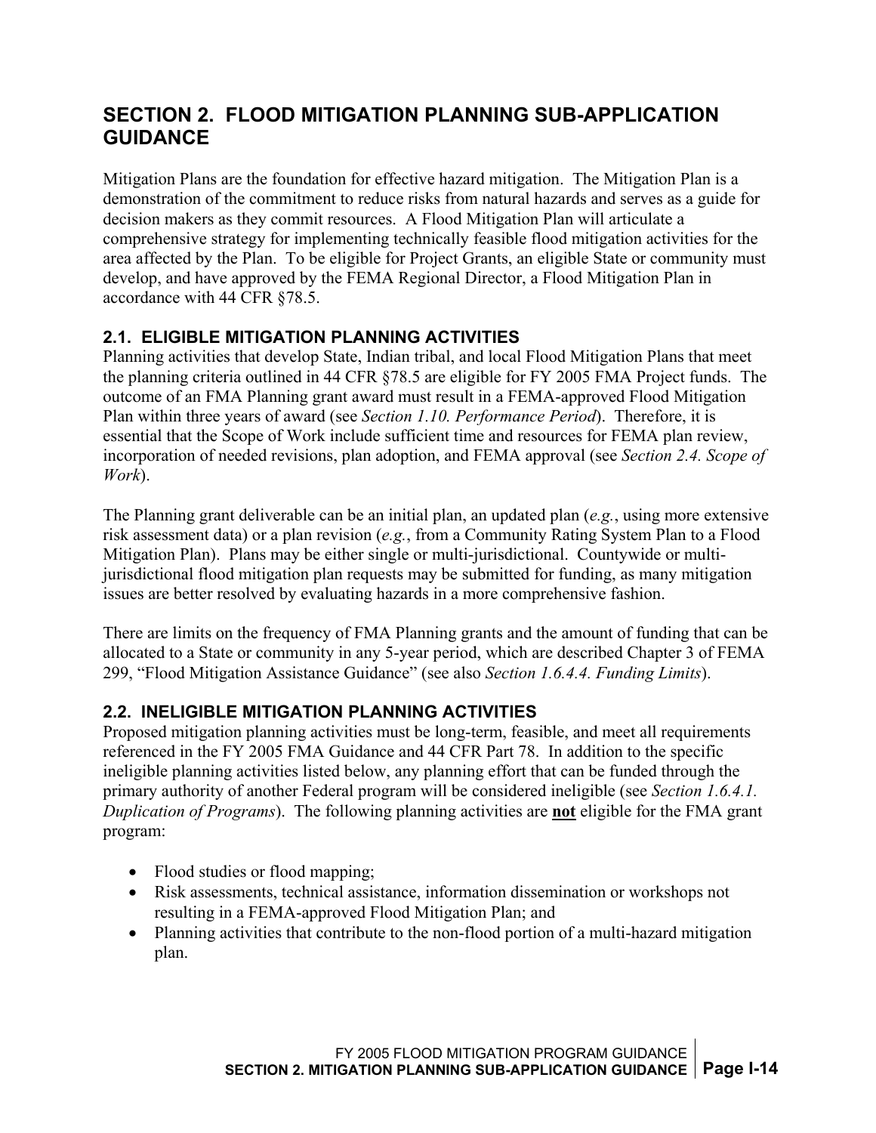# <span id="page-18-0"></span>**SECTION 2. FLOOD MITIGATION PLANNING SUB-APPLICATION GUIDANCE**

Mitigation Plans are the foundation for effective hazard mitigation. The Mitigation Plan is a demonstration of the commitment to reduce risks from natural hazards and serves as a guide for decision makers as they commit resources. A Flood Mitigation Plan will articulate a comprehensive strategy for implementing technically feasible flood mitigation activities for the area affected by the Plan. To be eligible for Project Grants, an eligible State or community must develop, and have approved by the FEMA Regional Director, a Flood Mitigation Plan in accordance with 44 CFR §78.5.

#### **2.1. ELIGIBLE MITIGATION PLANNING ACTIVITIES**

Planning activities that develop State, Indian tribal, and local Flood Mitigation Plans that meet the planning criteria outlined in 44 CFR §78.5 are eligible for FY 2005 FMA Project funds. The outcome of an FMA Planning grant award must result in a FEMA-approved Flood Mitigation Plan within three years of award (see *Section 1.10. Performance Period*). Therefore, it is essential that the Scope of Work include sufficient time and resources for FEMA plan review, incorporation of needed revisions, plan adoption, and FEMA approval (see *Section 2.4. Scope of Work*).

The Planning grant deliverable can be an initial plan, an updated plan (*e.g.*, using more extensive risk assessment data) or a plan revision (*e.g.*, from a Community Rating System Plan to a Flood Mitigation Plan). Plans may be either single or multi-jurisdictional. Countywide or multijurisdictional flood mitigation plan requests may be submitted for funding, as many mitigation issues are better resolved by evaluating hazards in a more comprehensive fashion.

There are limits on the frequency of FMA Planning grants and the amount of funding that can be allocated to a State or community in any 5-year period, which are described Chapter 3 of FEMA 299, "Flood Mitigation Assistance Guidance" (see also *Section 1.6.4.4. Funding Limits*).

#### **2.2. INELIGIBLE MITIGATION PLANNING ACTIVITIES**

Proposed mitigation planning activities must be long-term, feasible, and meet all requirements referenced in the FY 2005 FMA Guidance and 44 CFR Part 78. In addition to the specific ineligible planning activities listed below, any planning effort that can be funded through the primary authority of another Federal program will be considered ineligible (see *Section 1.6.4.1. Duplication of Programs*). The following planning activities are **not** eligible for the FMA grant program:

- Flood studies or flood mapping:
- Risk assessments, technical assistance, information dissemination or workshops not resulting in a FEMA-approved Flood Mitigation Plan; and
- Planning activities that contribute to the non-flood portion of a multi-hazard mitigation plan.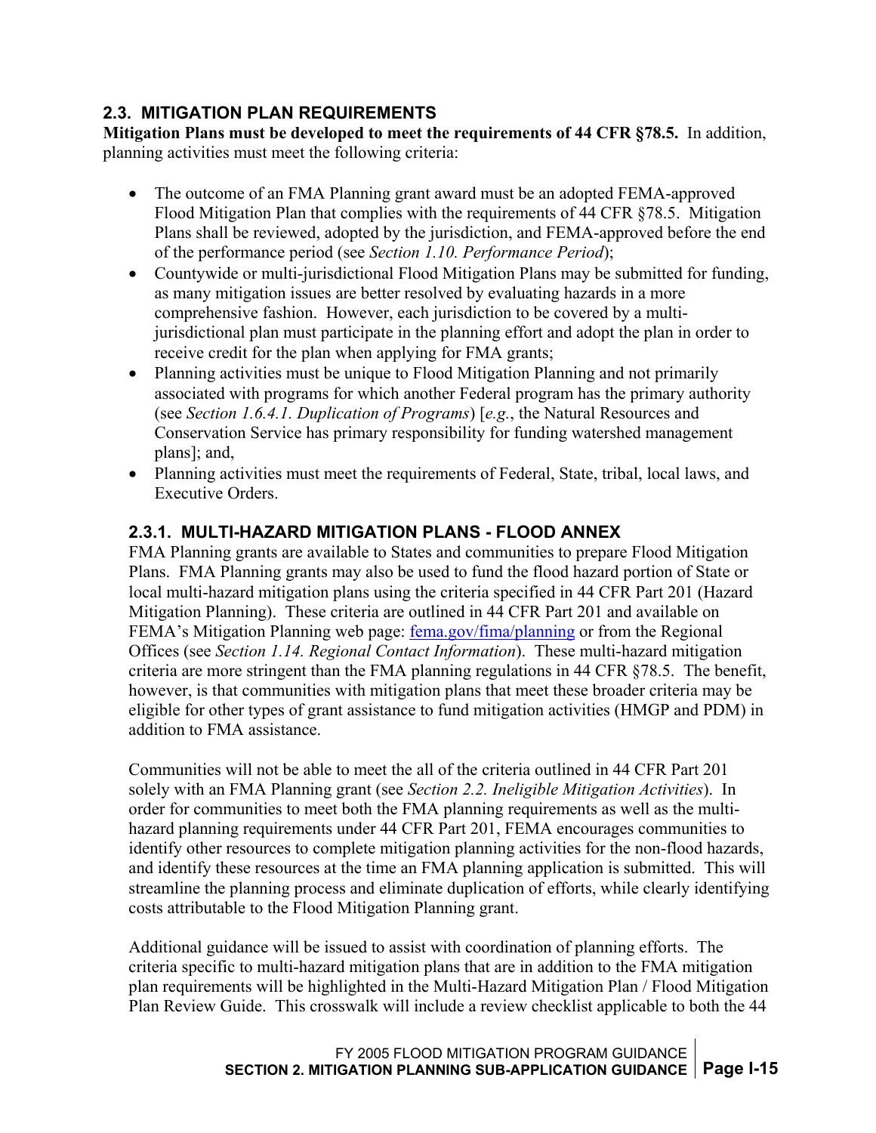#### <span id="page-19-0"></span>**2.3. MITIGATION PLAN REQUIREMENTS**

**Mitigation Plans must be developed to meet the requirements of 44 CFR §78.5.** In addition, planning activities must meet the following criteria:

- The outcome of an FMA Planning grant award must be an adopted FEMA-approved Flood Mitigation Plan that complies with the requirements of 44 CFR §78.5. Mitigation Plans shall be reviewed, adopted by the jurisdiction, and FEMA-approved before the end of the performance period (see *Section 1.10. Performance Period*);
- Countywide or multi-jurisdictional Flood Mitigation Plans may be submitted for funding, as many mitigation issues are better resolved by evaluating hazards in a more comprehensive fashion. However, each jurisdiction to be covered by a multijurisdictional plan must participate in the planning effort and adopt the plan in order to receive credit for the plan when applying for FMA grants;
- Planning activities must be unique to Flood Mitigation Planning and not primarily associated with programs for which another Federal program has the primary authority (see *Section 1.6.4.1. Duplication of Programs*) [*e.g.*, the Natural Resources and Conservation Service has primary responsibility for funding watershed management plans]; and,
- Planning activities must meet the requirements of Federal, State, tribal, local laws, and Executive Orders.

### **2.3.1. MULTI-HAZARD MITIGATION PLANS - FLOOD ANNEX**

FMA Planning grants are available to States and communities to prepare Flood Mitigation Plans. FMA Planning grants may also be used to fund the flood hazard portion of State or local multi-hazard mitigation plans using the criteria specified in 44 CFR Part 201 (Hazard Mitigation Planning). These criteria are outlined in 44 CFR Part 201 and available on FEMA's Mitigation Planning web page: [fema.gov/fima/planning](http://www.fema.gov/fima/planning) or from the Regional Offices (see *Section 1.14. Regional Contact Information*). These multi-hazard mitigation criteria are more stringent than the FMA planning regulations in 44 CFR §78.5. The benefit, however, is that communities with mitigation plans that meet these broader criteria may be eligible for other types of grant assistance to fund mitigation activities (HMGP and PDM) in addition to FMA assistance.

Communities will not be able to meet the all of the criteria outlined in 44 CFR Part 201 solely with an FMA Planning grant (see *Section 2.2. Ineligible Mitigation Activities*). In order for communities to meet both the FMA planning requirements as well as the multihazard planning requirements under 44 CFR Part 201, FEMA encourages communities to identify other resources to complete mitigation planning activities for the non-flood hazards, and identify these resources at the time an FMA planning application is submitted. This will streamline the planning process and eliminate duplication of efforts, while clearly identifying costs attributable to the Flood Mitigation Planning grant.

Additional guidance will be issued to assist with coordination of planning efforts. The criteria specific to multi-hazard mitigation plans that are in addition to the FMA mitigation plan requirements will be highlighted in the Multi-Hazard Mitigation Plan / Flood Mitigation Plan Review Guide. This crosswalk will include a review checklist applicable to both the 44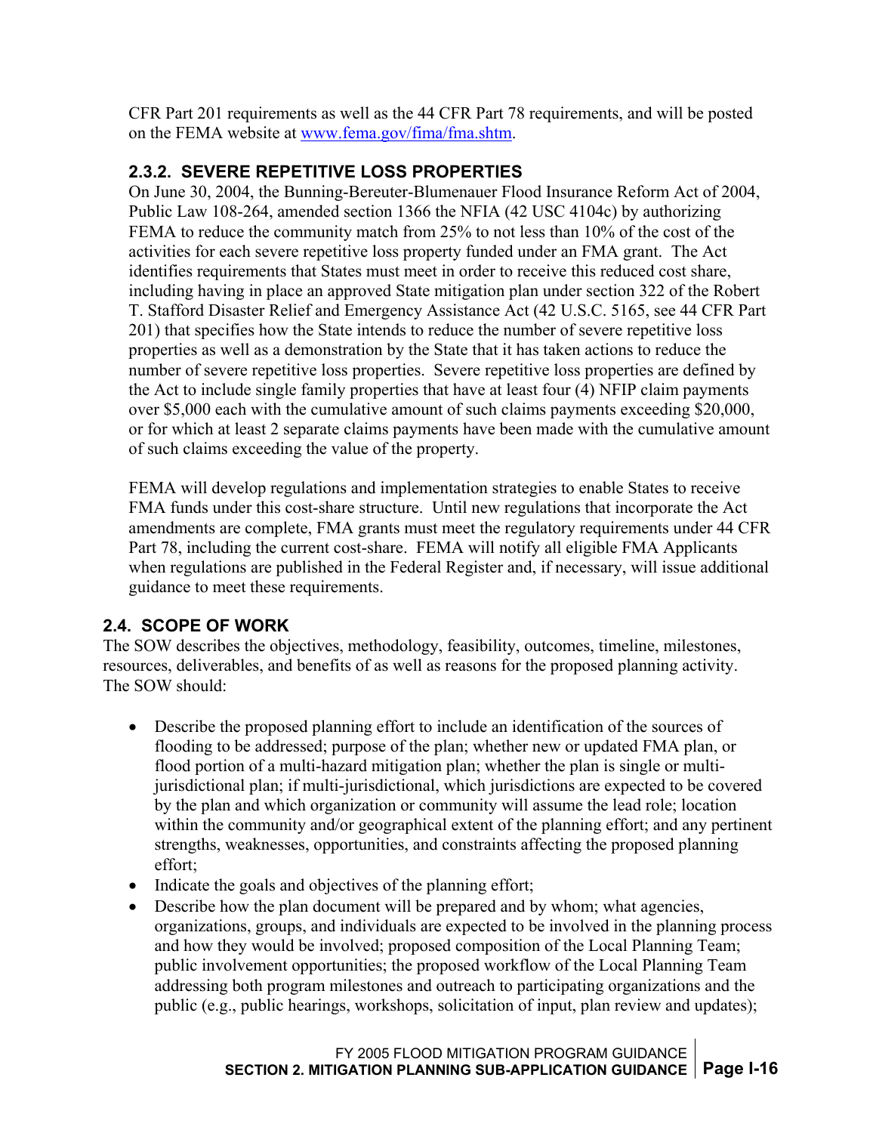<span id="page-20-0"></span>CFR Part 201 requirements as well as the 44 CFR Part 78 requirements, and will be posted on the FEMA website at [www.fema.gov/fima/fma.shtm.](http://www.fema.gov/fima/fma.shtm)

#### **2.3.2. SEVERE REPETITIVE LOSS PROPERTIES**

On June 30, 2004, the Bunning-Bereuter-Blumenauer Flood Insurance Reform Act of 2004, Public Law 108-264, amended section 1366 the NFIA (42 USC 4104c) by authorizing FEMA to reduce the community match from 25% to not less than 10% of the cost of the activities for each severe repetitive loss property funded under an FMA grant. The Act identifies requirements that States must meet in order to receive this reduced cost share, including having in place an approved State mitigation plan under section 322 of the Robert T. Stafford Disaster Relief and Emergency Assistance Act (42 U.S.C. 5165, see 44 CFR Part 201) that specifies how the State intends to reduce the number of severe repetitive loss properties as well as a demonstration by the State that it has taken actions to reduce the number of severe repetitive loss properties. Severe repetitive loss properties are defined by the Act to include single family properties that have at least four (4) NFIP claim payments over \$5,000 each with the cumulative amount of such claims payments exceeding \$20,000, or for which at least 2 separate claims payments have been made with the cumulative amount of such claims exceeding the value of the property.

FEMA will develop regulations and implementation strategies to enable States to receive FMA funds under this cost-share structure. Until new regulations that incorporate the Act amendments are complete, FMA grants must meet the regulatory requirements under 44 CFR Part 78, including the current cost-share. FEMA will notify all eligible FMA Applicants when regulations are published in the Federal Register and, if necessary, will issue additional guidance to meet these requirements.

#### **2.4. SCOPE OF WORK**

The SOW describes the objectives, methodology, feasibility, outcomes, timeline, milestones, resources, deliverables, and benefits of as well as reasons for the proposed planning activity. The SOW should:

- Describe the proposed planning effort to include an identification of the sources of flooding to be addressed; purpose of the plan; whether new or updated FMA plan, or flood portion of a multi-hazard mitigation plan; whether the plan is single or multijurisdictional plan; if multi-jurisdictional, which jurisdictions are expected to be covered by the plan and which organization or community will assume the lead role; location within the community and/or geographical extent of the planning effort; and any pertinent strengths, weaknesses, opportunities, and constraints affecting the proposed planning effort;
- Indicate the goals and objectives of the planning effort;
- Describe how the plan document will be prepared and by whom; what agencies, organizations, groups, and individuals are expected to be involved in the planning process and how they would be involved; proposed composition of the Local Planning Team; public involvement opportunities; the proposed workflow of the Local Planning Team addressing both program milestones and outreach to participating organizations and the public (e.g., public hearings, workshops, solicitation of input, plan review and updates);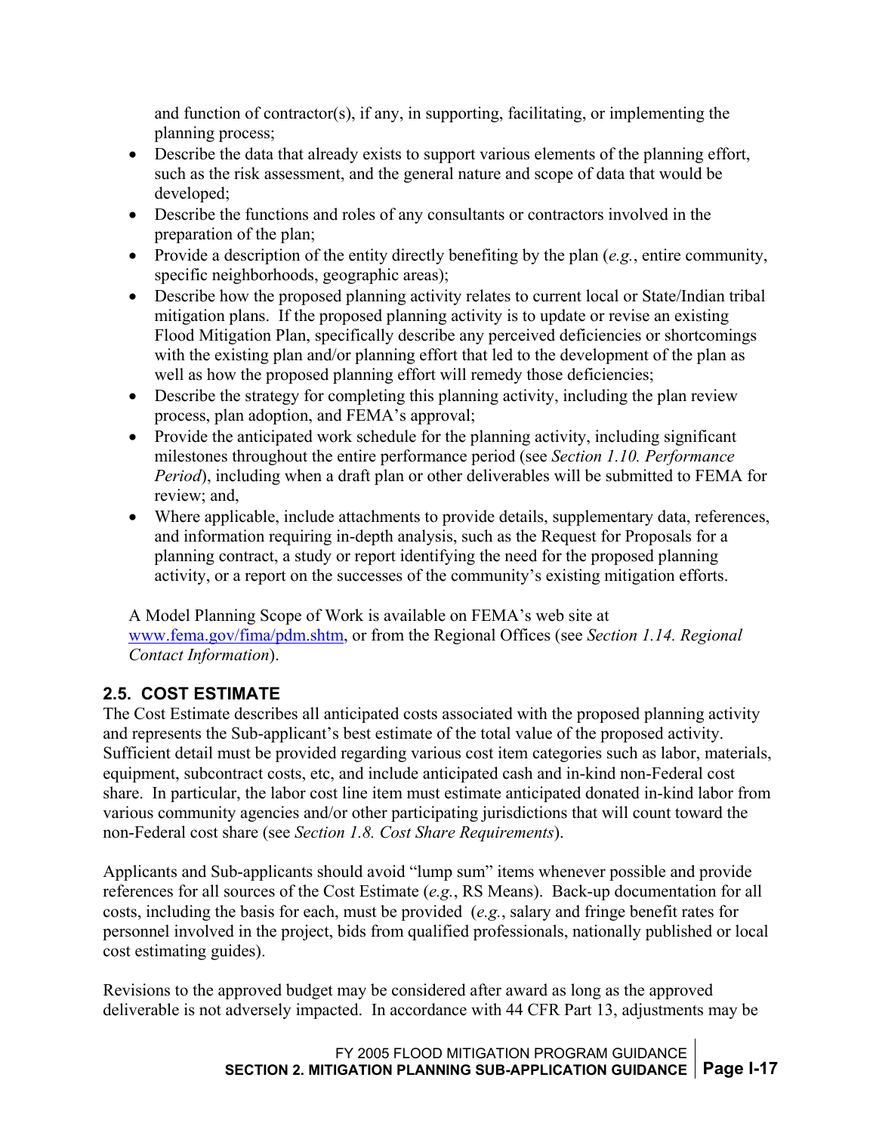<span id="page-21-0"></span>and function of contractor(s), if any, in supporting, facilitating, or implementing the planning process;

- Describe the data that already exists to support various elements of the planning effort, such as the risk assessment, and the general nature and scope of data that would be developed;
- Describe the functions and roles of any consultants or contractors involved in the preparation of the plan;
- Provide a description of the entity directly benefiting by the plan (*e.g.*, entire community, specific neighborhoods, geographic areas);
- Describe how the proposed planning activity relates to current local or State/Indian tribal mitigation plans. If the proposed planning activity is to update or revise an existing Flood Mitigation Plan, specifically describe any perceived deficiencies or shortcomings with the existing plan and/or planning effort that led to the development of the plan as well as how the proposed planning effort will remedy those deficiencies;
- Describe the strategy for completing this planning activity, including the plan review process, plan adoption, and FEMA's approval;
- Provide the anticipated work schedule for the planning activity, including significant milestones throughout the entire performance period (see *Section 1.10. Performance Period*), including when a draft plan or other deliverables will be submitted to FEMA for review; and,
- Where applicable, include attachments to provide details, supplementary data, references, and information requiring in-depth analysis, such as the Request for Proposals for a planning contract, a study or report identifying the need for the proposed planning activity, or a report on the successes of the community's existing mitigation efforts.

A Model Planning Scope of Work is available on FEMA's web site at [www.fema.gov/fima/pdm.shtm](http://www.fema.gov/fima/pdm.shtm), or from the Regional Offices (see *Section 1.14. Regional Contact Information*).

### **2.5. COST ESTIMATE**

The Cost Estimate describes all anticipated costs associated with the proposed planning activity and represents the Sub-applicant's best estimate of the total value of the proposed activity. Sufficient detail must be provided regarding various cost item categories such as labor, materials, equipment, subcontract costs, etc, and include anticipated cash and in-kind non-Federal cost share. In particular, the labor cost line item must estimate anticipated donated in-kind labor from various community agencies and/or other participating jurisdictions that will count toward the non-Federal cost share (see *Section 1.8. Cost Share Requirements*).

Applicants and Sub-applicants should avoid "lump sum" items whenever possible and provide references for all sources of the Cost Estimate (*e.g.*, RS Means). Back-up documentation for all costs, including the basis for each, must be provided (*e.g.*, salary and fringe benefit rates for personnel involved in the project, bids from qualified professionals, nationally published or local cost estimating guides).

Revisions to the approved budget may be considered after award as long as the approved deliverable is not adversely impacted. In accordance with 44 CFR Part 13, adjustments may be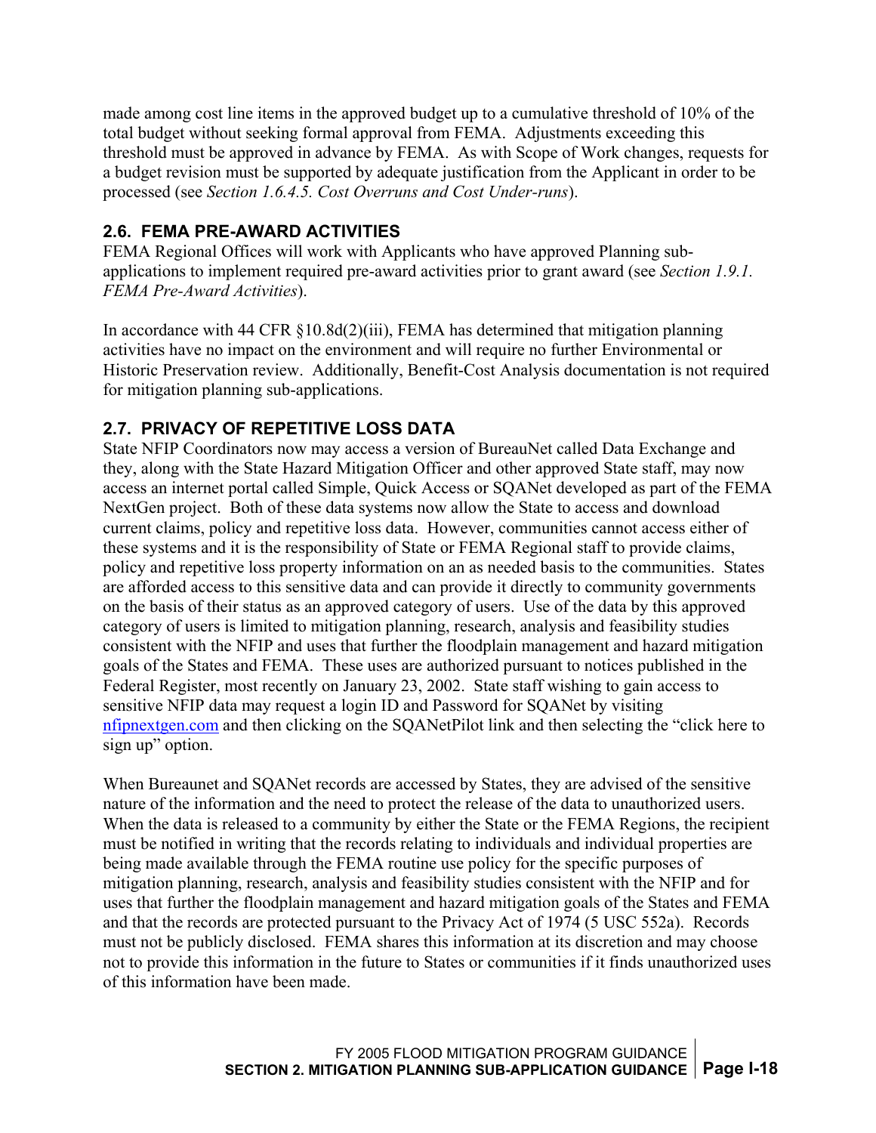<span id="page-22-0"></span>made among cost line items in the approved budget up to a cumulative threshold of 10% of the total budget without seeking formal approval from FEMA. Adjustments exceeding this threshold must be approved in advance by FEMA. As with Scope of Work changes, requests for a budget revision must be supported by adequate justification from the Applicant in order to be processed (see *Section 1.6.4.5. Cost Overruns and Cost Under-runs*).

### **2.6. FEMA PRE-AWARD ACTIVITIES**

FEMA Regional Offices will work with Applicants who have approved Planning subapplications to implement required pre-award activities prior to grant award (see *Section 1.9.1. FEMA Pre-Award Activities*).

In accordance with 44 CFR §10.8d(2)(iii), FEMA has determined that mitigation planning activities have no impact on the environment and will require no further Environmental or Historic Preservation review. Additionally, Benefit-Cost Analysis documentation is not required for mitigation planning sub-applications.

### **2.7. PRIVACY OF REPETITIVE LOSS DATA**

State NFIP Coordinators now may access a version of BureauNet called Data Exchange and they, along with the State Hazard Mitigation Officer and other approved State staff, may now access an internet portal called Simple, Quick Access or SQANet developed as part of the FEMA NextGen project. Both of these data systems now allow the State to access and download current claims, policy and repetitive loss data. However, communities cannot access either of these systems and it is the responsibility of State or FEMA Regional staff to provide claims, policy and repetitive loss property information on an as needed basis to the communities. States are afforded access to this sensitive data and can provide it directly to community governments on the basis of their status as an approved category of users. Use of the data by this approved category of users is limited to mitigation planning, research, analysis and feasibility studies consistent with the NFIP and uses that further the floodplain management and hazard mitigation goals of the States and FEMA. These uses are authorized pursuant to notices published in the Federal Register, most recently on January 23, 2002. State staff wishing to gain access to sensitive NFIP data may request a login ID and Password for SQANet by visiting [nfipnextgen.com](http://nfipnextgen.com/) and then clicking on the SQANetPilot link and then selecting the "click here to sign up" option.

When Bureaunet and SQANet records are accessed by States, they are advised of the sensitive nature of the information and the need to protect the release of the data to unauthorized users. When the data is released to a community by either the State or the FEMA Regions, the recipient must be notified in writing that the records relating to individuals and individual properties are being made available through the FEMA routine use policy for the specific purposes of mitigation planning, research, analysis and feasibility studies consistent with the NFIP and for uses that further the floodplain management and hazard mitigation goals of the States and FEMA and that the records are protected pursuant to the Privacy Act of 1974 (5 USC 552a). Records must not be publicly disclosed. FEMA shares this information at its discretion and may choose not to provide this information in the future to States or communities if it finds unauthorized uses of this information have been made.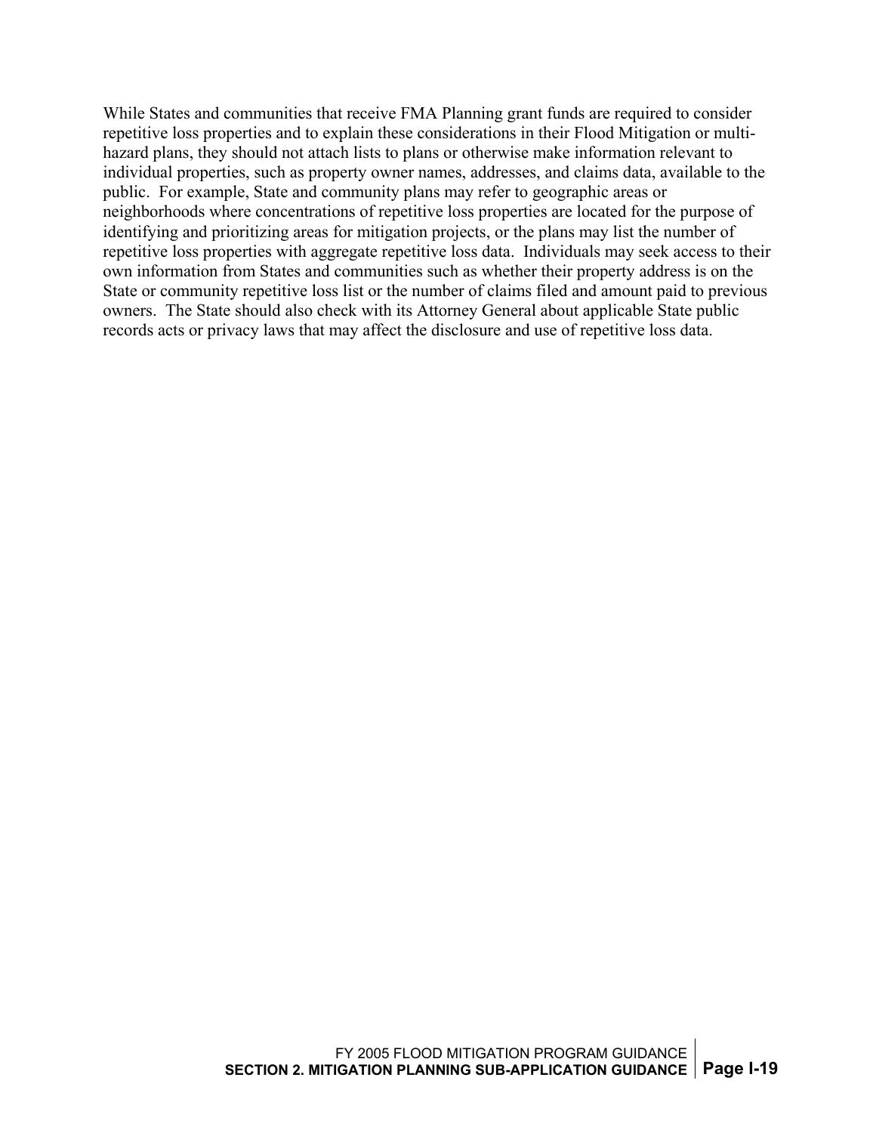While States and communities that receive FMA Planning grant funds are required to consider repetitive loss properties and to explain these considerations in their Flood Mitigation or multihazard plans, they should not attach lists to plans or otherwise make information relevant to individual properties, such as property owner names, addresses, and claims data, available to the public. For example, State and community plans may refer to geographic areas or neighborhoods where concentrations of repetitive loss properties are located for the purpose of identifying and prioritizing areas for mitigation projects, or the plans may list the number of repetitive loss properties with aggregate repetitive loss data. Individuals may seek access to their own information from States and communities such as whether their property address is on the State or community repetitive loss list or the number of claims filed and amount paid to previous owners. The State should also check with its Attorney General about applicable State public records acts or privacy laws that may affect the disclosure and use of repetitive loss data.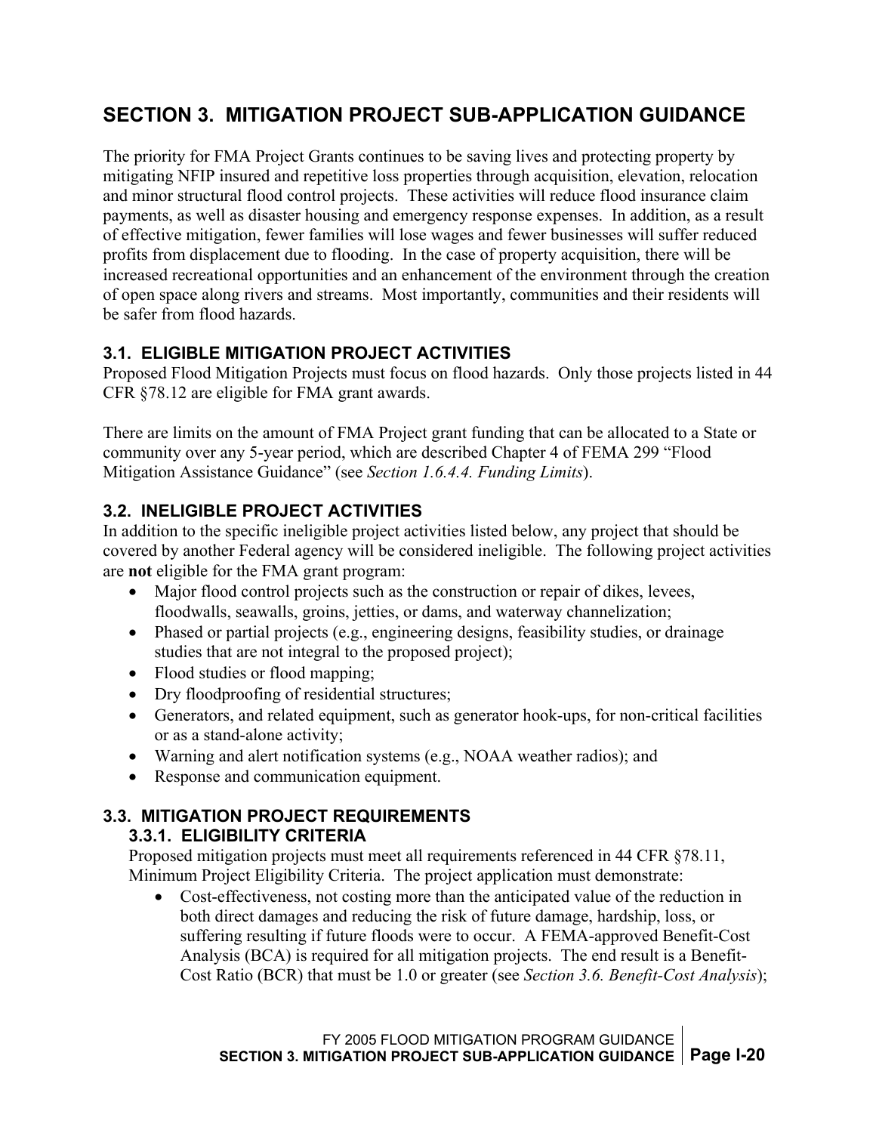# <span id="page-24-0"></span>**SECTION 3. MITIGATION PROJECT SUB-APPLICATION GUIDANCE**

The priority for FMA Project Grants continues to be saving lives and protecting property by mitigating NFIP insured and repetitive loss properties through acquisition, elevation, relocation and minor structural flood control projects. These activities will reduce flood insurance claim payments, as well as disaster housing and emergency response expenses. In addition, as a result of effective mitigation, fewer families will lose wages and fewer businesses will suffer reduced profits from displacement due to flooding. In the case of property acquisition, there will be increased recreational opportunities and an enhancement of the environment through the creation of open space along rivers and streams. Most importantly, communities and their residents will be safer from flood hazards.

#### **3.1. ELIGIBLE MITIGATION PROJECT ACTIVITIES**

Proposed Flood Mitigation Projects must focus on flood hazards. Only those projects listed in 44 CFR §78.12 are eligible for FMA grant awards.

There are limits on the amount of FMA Project grant funding that can be allocated to a State or community over any 5-year period, which are described Chapter 4 of FEMA 299 "Flood Mitigation Assistance Guidance" (see *Section 1.6.4.4. Funding Limits*).

### **3.2. INELIGIBLE PROJECT ACTIVITIES**

In addition to the specific ineligible project activities listed below, any project that should be covered by another Federal agency will be considered ineligible. The following project activities are **not** eligible for the FMA grant program:

- Major flood control projects such as the construction or repair of dikes, levees, floodwalls, seawalls, groins, jetties, or dams, and waterway channelization;
- Phased or partial projects (e.g., engineering designs, feasibility studies, or drainage studies that are not integral to the proposed project);
- Flood studies or flood mapping;
- Dry floodproofing of residential structures;
- Generators, and related equipment, such as generator hook-ups, for non-critical facilities or as a stand-alone activity;
- Warning and alert notification systems (e.g., NOAA weather radios); and
- Response and communication equipment.

# **3.3. MITIGATION PROJECT REQUIREMENTS**

#### **3.3.1. ELIGIBILITY CRITERIA**

Proposed mitigation projects must meet all requirements referenced in 44 CFR §78.11, Minimum Project Eligibility Criteria. The project application must demonstrate:

• Cost-effectiveness, not costing more than the anticipated value of the reduction in both direct damages and reducing the risk of future damage, hardship, loss, or suffering resulting if future floods were to occur. A FEMA-approved Benefit-Cost Analysis (BCA) is required for all mitigation projects. The end result is a Benefit-Cost Ratio (BCR) that must be 1.0 or greater (see *Section 3.6. Benefit-Cost Analysis*);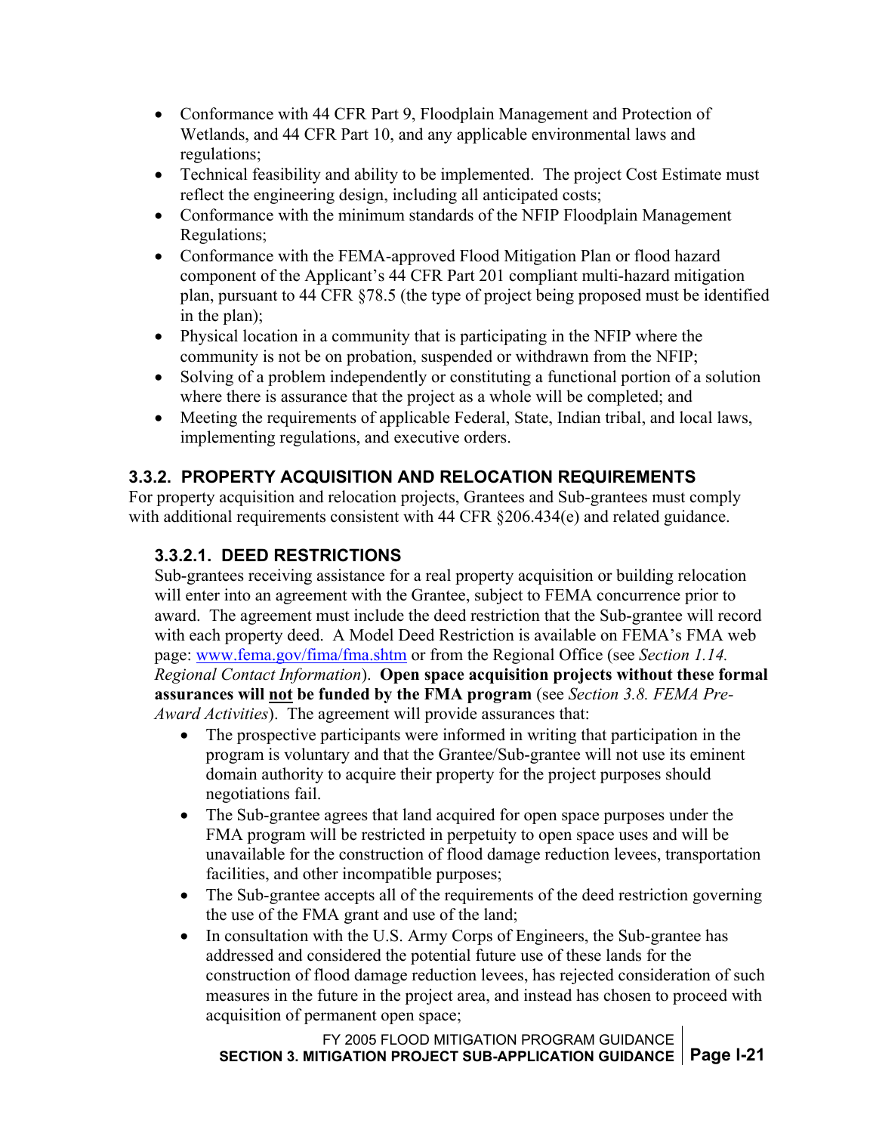- <span id="page-25-0"></span>• Conformance with 44 CFR Part 9, Floodplain Management and Protection of Wetlands, and 44 CFR Part 10, and any applicable environmental laws and regulations;
- Technical feasibility and ability to be implemented. The project Cost Estimate must reflect the engineering design, including all anticipated costs;
- Conformance with the minimum standards of the NFIP Floodplain Management Regulations;
- Conformance with the FEMA-approved Flood Mitigation Plan or flood hazard component of the Applicant's 44 CFR Part 201 compliant multi-hazard mitigation plan, pursuant to 44 CFR §78.5 (the type of project being proposed must be identified in the plan);
- Physical location in a community that is participating in the NFIP where the community is not be on probation, suspended or withdrawn from the NFIP;
- Solving of a problem independently or constituting a functional portion of a solution where there is assurance that the project as a whole will be completed; and
- Meeting the requirements of applicable Federal, State, Indian tribal, and local laws, implementing regulations, and executive orders.

### **3.3.2. PROPERTY ACQUISITION AND RELOCATION REQUIREMENTS**

For property acquisition and relocation projects, Grantees and Sub-grantees must comply with additional requirements consistent with 44 CFR §206.434(e) and related guidance.

#### **3.3.2.1. DEED RESTRICTIONS**

Sub-grantees receiving assistance for a real property acquisition or building relocation will enter into an agreement with the Grantee, subject to FEMA concurrence prior to award. The agreement must include the deed restriction that the Sub-grantee will record with each property deed. A Model Deed Restriction is available on FEMA's FMA web page: [www.fema.gov/fima/fma.shtm](http://www.fema.gov/fima/fma.shtm) or from the Regional Office (see *Section 1.14. Regional Contact Information*). **Open space acquisition projects without these formal assurances will not be funded by the FMA program** (see *Section 3.8. FEMA Pre-Award Activities*).The agreement will provide assurances that:

- The prospective participants were informed in writing that participation in the program is voluntary and that the Grantee/Sub-grantee will not use its eminent domain authority to acquire their property for the project purposes should negotiations fail.
- The Sub-grantee agrees that land acquired for open space purposes under the FMA program will be restricted in perpetuity to open space uses and will be unavailable for the construction of flood damage reduction levees, transportation facilities, and other incompatible purposes;
- The Sub-grantee accepts all of the requirements of the deed restriction governing the use of the FMA grant and use of the land;
- In consultation with the U.S. Army Corps of Engineers, the Sub-grantee has addressed and considered the potential future use of these lands for the construction of flood damage reduction levees, has rejected consideration of such measures in the future in the project area, and instead has chosen to proceed with acquisition of permanent open space;

FY 2005 FLOOD MITIGATION PROGRAM GUIDANCE **SECTION 3. MITIGATION PROJECT SUB-APPLICATION GUIDANCE Page I-21**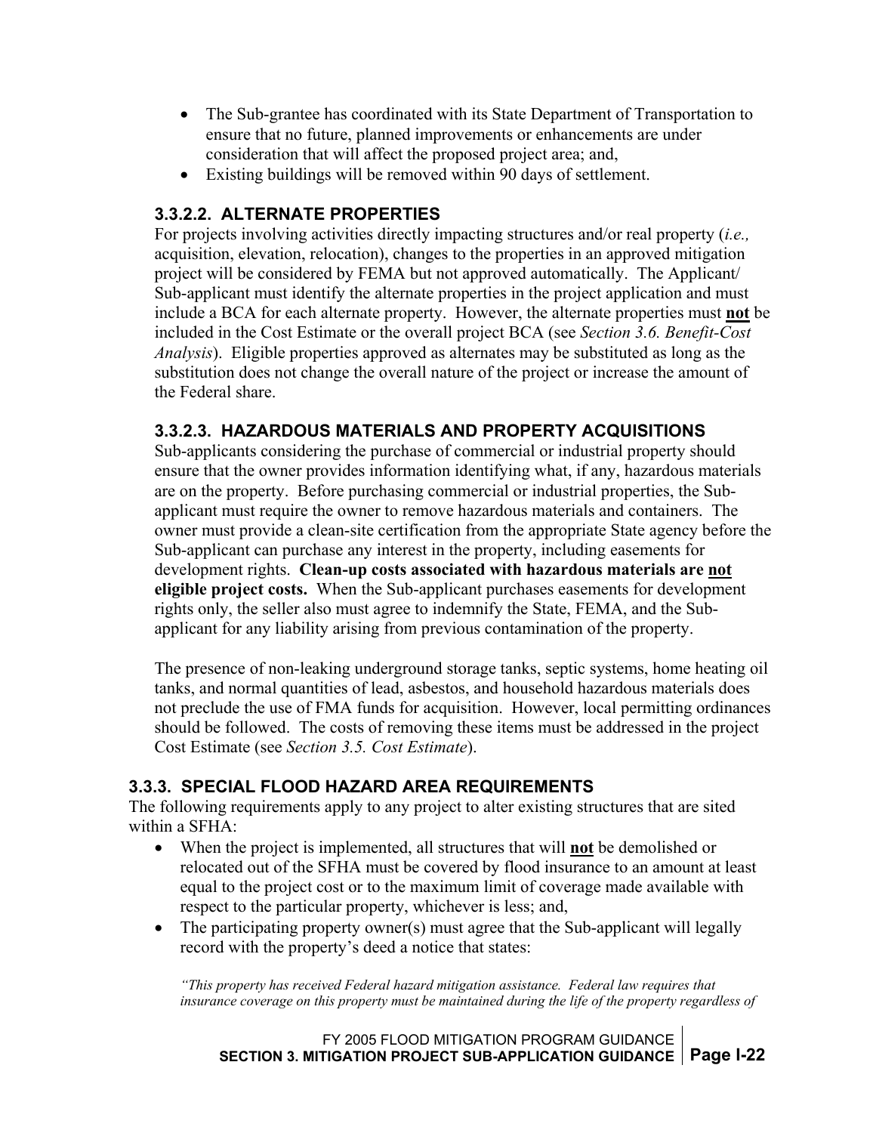- <span id="page-26-0"></span>• The Sub-grantee has coordinated with its State Department of Transportation to ensure that no future, planned improvements or enhancements are under consideration that will affect the proposed project area; and,
- Existing buildings will be removed within 90 days of settlement.

#### **3.3.2.2. ALTERNATE PROPERTIES**

For projects involving activities directly impacting structures and/or real property (*i.e.,* acquisition, elevation, relocation), changes to the properties in an approved mitigation project will be considered by FEMA but not approved automatically. The Applicant/ Sub-applicant must identify the alternate properties in the project application and must include a BCA for each alternate property. However, the alternate properties must **not** be included in the Cost Estimate or the overall project BCA (see *Section 3.6. Benefit-Cost Analysis*). Eligible properties approved as alternates may be substituted as long as the substitution does not change the overall nature of the project or increase the amount of the Federal share.

#### **3.3.2.3. HAZARDOUS MATERIALS AND PROPERTY ACQUISITIONS**

Sub-applicants considering the purchase of commercial or industrial property should ensure that the owner provides information identifying what, if any, hazardous materials are on the property. Before purchasing commercial or industrial properties, the Subapplicant must require the owner to remove hazardous materials and containers. The owner must provide a clean-site certification from the appropriate State agency before the Sub-applicant can purchase any interest in the property, including easements for development rights. **Clean-up costs associated with hazardous materials are not eligible project costs.** When the Sub-applicant purchases easements for development rights only, the seller also must agree to indemnify the State, FEMA, and the Subapplicant for any liability arising from previous contamination of the property.

The presence of non-leaking underground storage tanks, septic systems, home heating oil tanks, and normal quantities of lead, asbestos, and household hazardous materials does not preclude the use of FMA funds for acquisition. However, local permitting ordinances should be followed. The costs of removing these items must be addressed in the project Cost Estimate (see *Section 3.5. Cost Estimate*).

#### **3.3.3. SPECIAL FLOOD HAZARD AREA REQUIREMENTS**

The following requirements apply to any project to alter existing structures that are sited within a SFHA:

- When the project is implemented, all structures that will **not** be demolished or relocated out of the SFHA must be covered by flood insurance to an amount at least equal to the project cost or to the maximum limit of coverage made available with respect to the particular property, whichever is less; and,
- The participating property owner(s) must agree that the Sub-applicant will legally record with the property's deed a notice that states:

*"This property has received Federal hazard mitigation assistance. Federal law requires that insurance coverage on this property must be maintained during the life of the property regardless of*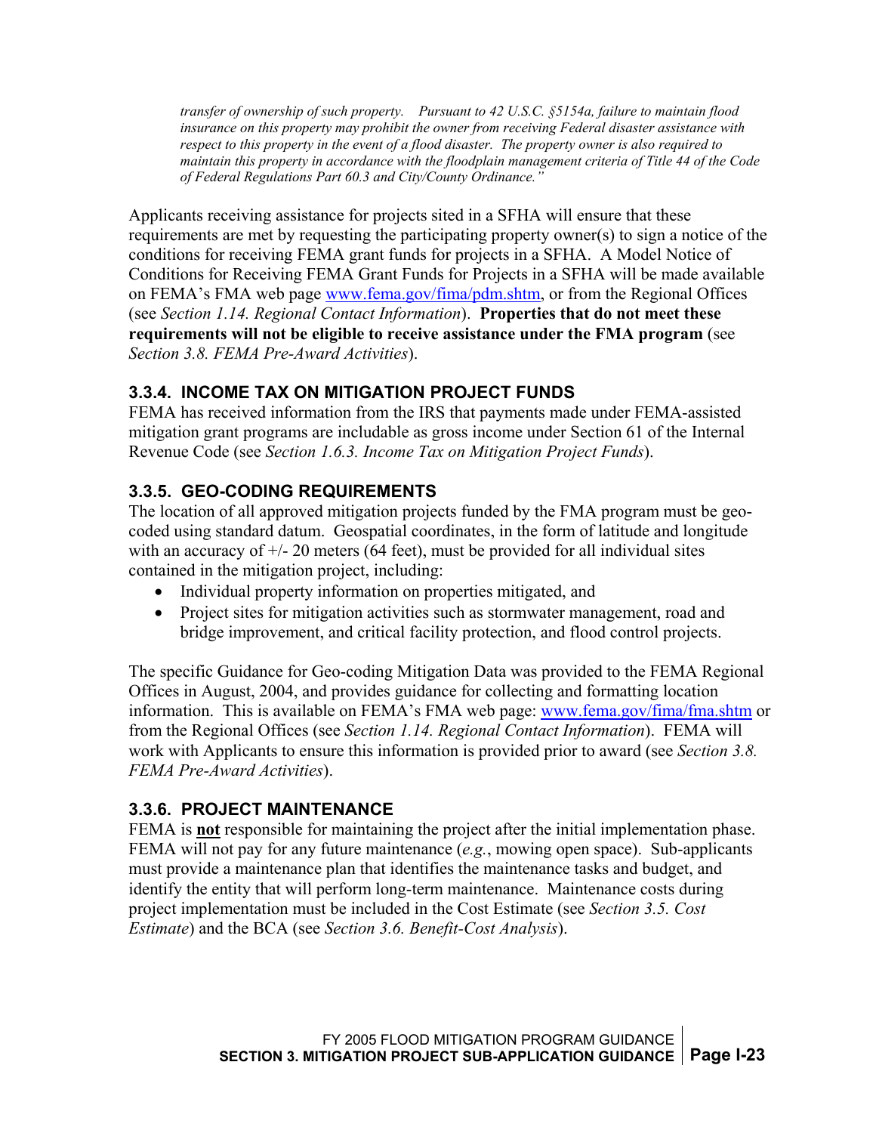<span id="page-27-0"></span>*transfer of ownership of such property. Pursuant to 42 U.S.C. §5154a, failure to maintain flood insurance on this property may prohibit the owner from receiving Federal disaster assistance with respect to this property in the event of a flood disaster. The property owner is also required to maintain this property in accordance with the floodplain management criteria of Title 44 of the Code of Federal Regulations Part 60.3 and City/County Ordinance."* 

Applicants receiving assistance for projects sited in a SFHA will ensure that these requirements are met by requesting the participating property owner(s) to sign a notice of the conditions for receiving FEMA grant funds for projects in a SFHA. A Model Notice of Conditions for Receiving FEMA Grant Funds for Projects in a SFHA will be made available on FEMA's FMA web page [www.fema.gov/fima/pdm.shtm,](http://www.fema.gov/fima/pdm.shtm) or from the Regional Offices (see *Section 1.14. Regional Contact Information*). **Properties that do not meet these requirements will not be eligible to receive assistance under the FMA program** (see *Section 3.8. FEMA Pre-Award Activities*).

#### **3.3.4. INCOME TAX ON MITIGATION PROJECT FUNDS**

FEMA has received information from the IRS that payments made under FEMA-assisted mitigation grant programs are includable as gross income under Section 61 of the Internal Revenue Code (see *Section 1.6.3. Income Tax on Mitigation Project Funds*).

### **3.3.5. GEO-CODING REQUIREMENTS**

The location of all approved mitigation projects funded by the FMA program must be geocoded using standard datum. Geospatial coordinates, in the form of latitude and longitude with an accuracy of  $+/- 20$  meters (64 feet), must be provided for all individual sites contained in the mitigation project, including:

- Individual property information on properties mitigated, and
- Project sites for mitigation activities such as stormwater management, road and bridge improvement, and critical facility protection, and flood control projects.

The specific Guidance for Geo-coding Mitigation Data was provided to the FEMA Regional Offices in August, 2004, and provides guidance for collecting and formatting location information. This is available on FEMA's FMA web page: [www.fema.gov/fima/fma.shtm](http://www.fema.gov/fima/fma.shtm) or from the Regional Offices (see *Section 1.14. Regional Contact Information*). FEMA will work with Applicants to ensure this information is provided prior to award (see *Section 3.8. FEMA Pre-Award Activities*).

#### **3.3.6. PROJECT MAINTENANCE**

FEMA is **not** responsible for maintaining the project after the initial implementation phase. FEMA will not pay for any future maintenance (*e.g.*, mowing open space). Sub-applicants must provide a maintenance plan that identifies the maintenance tasks and budget, and identify the entity that will perform long-term maintenance. Maintenance costs during project implementation must be included in the Cost Estimate (see *Section 3.5. Cost Estimate*) and the BCA (see *Section 3.6. Benefit-Cost Analysis*).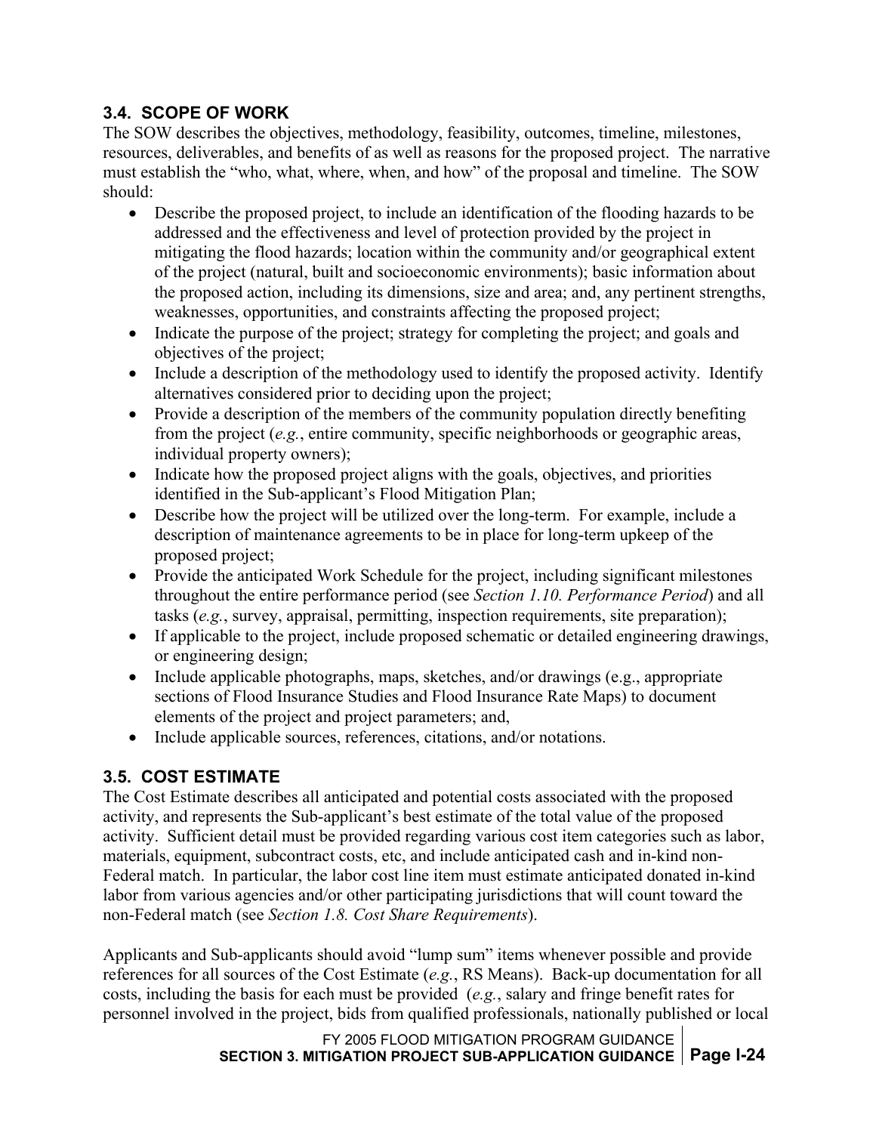#### <span id="page-28-0"></span>**3.4. SCOPE OF WORK**

The SOW describes the objectives, methodology, feasibility, outcomes, timeline, milestones, resources, deliverables, and benefits of as well as reasons for the proposed project. The narrative must establish the "who, what, where, when, and how" of the proposal and timeline. The SOW should:

- Describe the proposed project, to include an identification of the flooding hazards to be addressed and the effectiveness and level of protection provided by the project in mitigating the flood hazards; location within the community and/or geographical extent of the project (natural, built and socioeconomic environments); basic information about the proposed action, including its dimensions, size and area; and, any pertinent strengths, weaknesses, opportunities, and constraints affecting the proposed project;
- Indicate the purpose of the project; strategy for completing the project; and goals and objectives of the project;
- Include a description of the methodology used to identify the proposed activity. Identify alternatives considered prior to deciding upon the project;
- Provide a description of the members of the community population directly benefiting from the project (*e.g.*, entire community, specific neighborhoods or geographic areas, individual property owners);
- Indicate how the proposed project aligns with the goals, objectives, and priorities identified in the Sub-applicant's Flood Mitigation Plan;
- Describe how the project will be utilized over the long-term. For example, include a description of maintenance agreements to be in place for long-term upkeep of the proposed project;
- Provide the anticipated Work Schedule for the project, including significant milestones throughout the entire performance period (see *Section 1.10. Performance Period*) and all tasks (*e.g.*, survey, appraisal, permitting, inspection requirements, site preparation);
- If applicable to the project, include proposed schematic or detailed engineering drawings, or engineering design;
- Include applicable photographs, maps, sketches, and/or drawings (e.g., appropriate sections of Flood Insurance Studies and Flood Insurance Rate Maps) to document elements of the project and project parameters; and,
- Include applicable sources, references, citations, and/or notations.

### **3.5. COST ESTIMATE**

The Cost Estimate describes all anticipated and potential costs associated with the proposed activity, and represents the Sub-applicant's best estimate of the total value of the proposed activity. Sufficient detail must be provided regarding various cost item categories such as labor, materials, equipment, subcontract costs, etc, and include anticipated cash and in-kind non-Federal match. In particular, the labor cost line item must estimate anticipated donated in-kind labor from various agencies and/or other participating jurisdictions that will count toward the non-Federal match (see *Section 1.8. Cost Share Requirements*).

Applicants and Sub-applicants should avoid "lump sum" items whenever possible and provide references for all sources of the Cost Estimate (*e.g.*, RS Means). Back-up documentation for all costs, including the basis for each must be provided (*e.g.*, salary and fringe benefit rates for personnel involved in the project, bids from qualified professionals, nationally published or local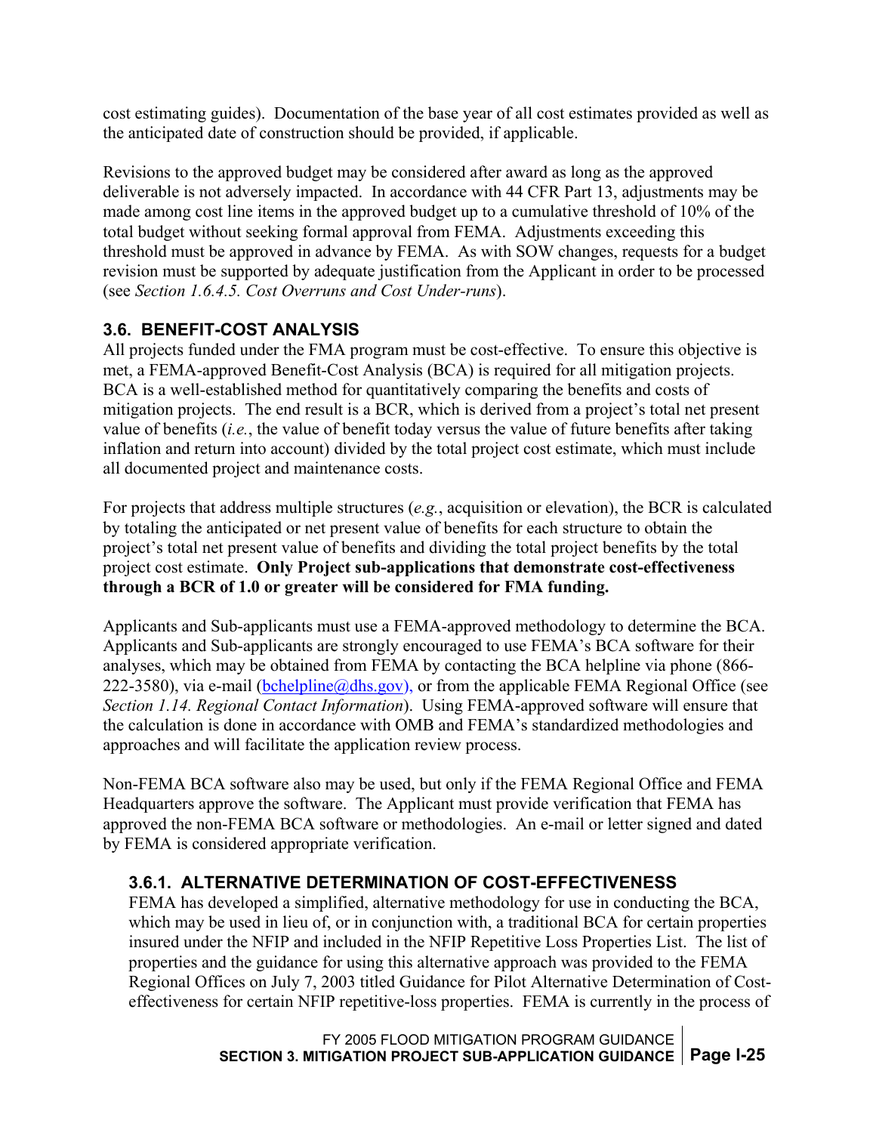<span id="page-29-0"></span>cost estimating guides). Documentation of the base year of all cost estimates provided as well as the anticipated date of construction should be provided, if applicable.

Revisions to the approved budget may be considered after award as long as the approved deliverable is not adversely impacted. In accordance with 44 CFR Part 13, adjustments may be made among cost line items in the approved budget up to a cumulative threshold of 10% of the total budget without seeking formal approval from FEMA. Adjustments exceeding this threshold must be approved in advance by FEMA. As with SOW changes, requests for a budget revision must be supported by adequate justification from the Applicant in order to be processed (see *Section 1.6.4.5. Cost Overruns and Cost Under-runs*).

#### **3.6. BENEFIT-COST ANALYSIS**

All projects funded under the FMA program must be cost-effective. To ensure this objective is met, a FEMA-approved Benefit-Cost Analysis (BCA) is required for all mitigation projects. BCA is a well-established method for quantitatively comparing the benefits and costs of mitigation projects. The end result is a BCR, which is derived from a project's total net present value of benefits (*i.e.*, the value of benefit today versus the value of future benefits after taking inflation and return into account) divided by the total project cost estimate, which must include all documented project and maintenance costs.

For projects that address multiple structures (*e.g.*, acquisition or elevation), the BCR is calculated by totaling the anticipated or net present value of benefits for each structure to obtain the project's total net present value of benefits and dividing the total project benefits by the total project cost estimate. **Only Project sub-applications that demonstrate cost-effectiveness through a BCR of 1.0 or greater will be considered for FMA funding.** 

Applicants and Sub-applicants must use a FEMA-approved methodology to determine the BCA. Applicants and Sub-applicants are strongly encouraged to use FEMA's BCA software for their analyses, which may be obtained from FEMA by contacting the BCA helpline via phone (866- 222-3580), via e-mail [\(bchelpline@dhs.gov](mailto:bchotline@urscorp.com)), or from the applicable FEMA Regional Office (see *Section 1.14. Regional Contact Information*). Using FEMA-approved software will ensure that the calculation is done in accordance with OMB and FEMA's standardized methodologies and approaches and will facilitate the application review process.

Non-FEMA BCA software also may be used, but only if the FEMA Regional Office and FEMA Headquarters approve the software. The Applicant must provide verification that FEMA has approved the non-FEMA BCA software or methodologies. An e-mail or letter signed and dated by FEMA is considered appropriate verification.

#### **3.6.1. ALTERNATIVE DETERMINATION OF COST-EFFECTIVENESS**

FEMA has developed a simplified, alternative methodology for use in conducting the BCA, which may be used in lieu of, or in conjunction with, a traditional BCA for certain properties insured under the NFIP and included in the NFIP Repetitive Loss Properties List. The list of properties and the guidance for using this alternative approach was provided to the FEMA Regional Offices on July 7, 2003 titled Guidance for Pilot Alternative Determination of Costeffectiveness for certain NFIP repetitive-loss properties. FEMA is currently in the process of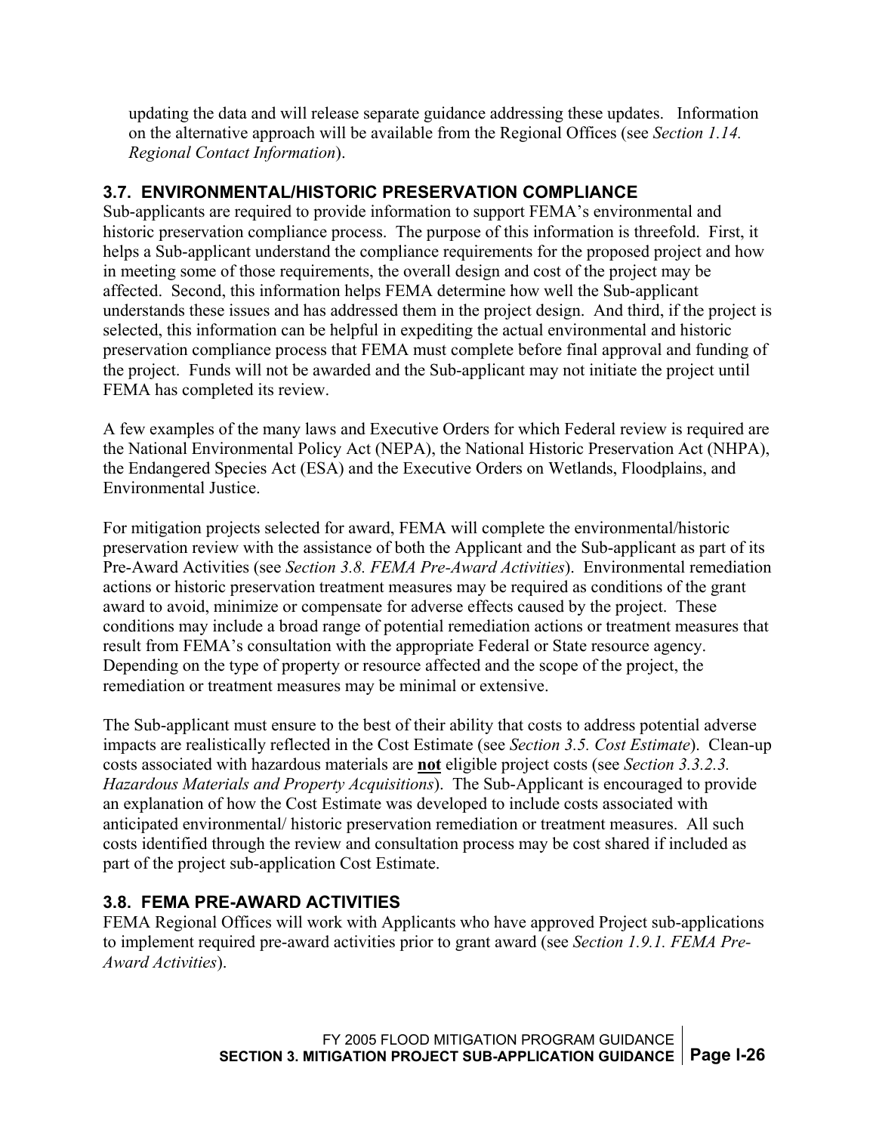<span id="page-30-0"></span>updating the data and will release separate guidance addressing these updates. Information on the alternative approach will be available from the Regional Offices (see *Section 1.14. Regional Contact Information*).

#### **3.7. ENVIRONMENTAL/HISTORIC PRESERVATION COMPLIANCE**

Sub-applicants are required to provide information to support FEMA's environmental and historic preservation compliance process. The purpose of this information is threefold. First, it helps a Sub-applicant understand the compliance requirements for the proposed project and how in meeting some of those requirements, the overall design and cost of the project may be affected. Second, this information helps FEMA determine how well the Sub-applicant understands these issues and has addressed them in the project design. And third, if the project is selected, this information can be helpful in expediting the actual environmental and historic preservation compliance process that FEMA must complete before final approval and funding of the project. Funds will not be awarded and the Sub-applicant may not initiate the project until FEMA has completed its review.

A few examples of the many laws and Executive Orders for which Federal review is required are the National Environmental Policy Act (NEPA), the National Historic Preservation Act (NHPA), the Endangered Species Act (ESA) and the Executive Orders on Wetlands, Floodplains, and Environmental Justice.

For mitigation projects selected for award, FEMA will complete the environmental/historic preservation review with the assistance of both the Applicant and the Sub-applicant as part of its Pre-Award Activities (see *Section 3.8. FEMA Pre-Award Activities*). Environmental remediation actions or historic preservation treatment measures may be required as conditions of the grant award to avoid, minimize or compensate for adverse effects caused by the project. These conditions may include a broad range of potential remediation actions or treatment measures that result from FEMA's consultation with the appropriate Federal or State resource agency. Depending on the type of property or resource affected and the scope of the project, the remediation or treatment measures may be minimal or extensive.

The Sub-applicant must ensure to the best of their ability that costs to address potential adverse impacts are realistically reflected in the Cost Estimate (see *Section 3.5. Cost Estimate*). Clean-up costs associated with hazardous materials are **not** eligible project costs (see *Section 3.3.2.3. Hazardous Materials and Property Acquisitions*). The Sub-Applicant is encouraged to provide an explanation of how the Cost Estimate was developed to include costs associated with anticipated environmental/ historic preservation remediation or treatment measures. All such costs identified through the review and consultation process may be cost shared if included as part of the project sub-application Cost Estimate.

#### **3.8. FEMA PRE-AWARD ACTIVITIES**

FEMA Regional Offices will work with Applicants who have approved Project sub-applications to implement required pre-award activities prior to grant award (see *Section 1.9.1. FEMA Pre-Award Activities*).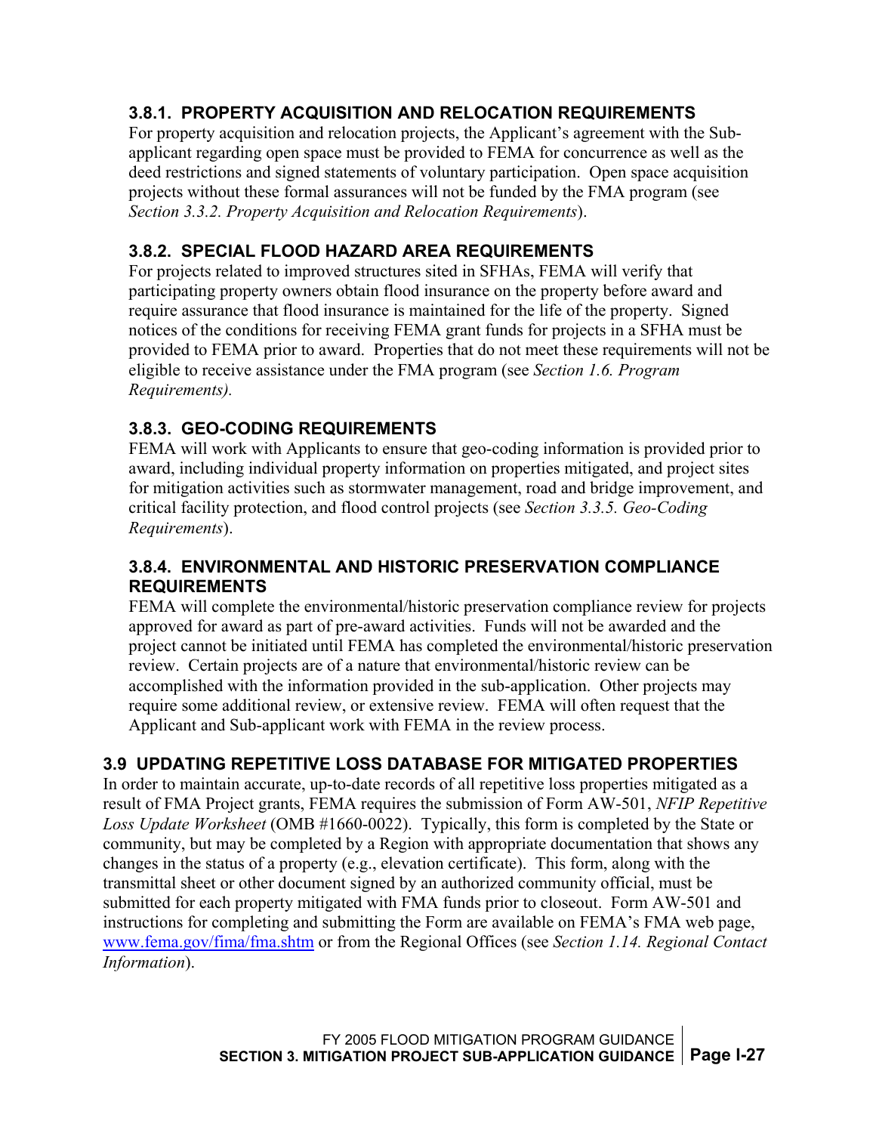#### <span id="page-31-0"></span>**3.8.1. PROPERTY ACQUISITION AND RELOCATION REQUIREMENTS**

For property acquisition and relocation projects, the Applicant's agreement with the Subapplicant regarding open space must be provided to FEMA for concurrence as well as the deed restrictions and signed statements of voluntary participation. Open space acquisition projects without these formal assurances will not be funded by the FMA program (see *Section 3.3.2. Property Acquisition and Relocation Requirements*).

### **3.8.2. SPECIAL FLOOD HAZARD AREA REQUIREMENTS**

For projects related to improved structures sited in SFHAs, FEMA will verify that participating property owners obtain flood insurance on the property before award and require assurance that flood insurance is maintained for the life of the property.Signed notices of the conditions for receiving FEMA grant funds for projects in a SFHA must be provided to FEMA prior to award. Properties that do not meet these requirements will not be eligible to receive assistance under the FMA program (see *Section 1.6. Program Requirements).* 

### **3.8.3. GEO-CODING REQUIREMENTS**

FEMA will work with Applicants to ensure that geo-coding information is provided prior to award, including individual property information on properties mitigated, and project sites for mitigation activities such as stormwater management, road and bridge improvement, and critical facility protection, and flood control projects (see *Section 3.3.5. Geo-Coding Requirements*).

#### **3.8.4. ENVIRONMENTAL AND HISTORIC PRESERVATION COMPLIANCE REQUIREMENTS**

FEMA will complete the environmental/historic preservation compliance review for projects approved for award as part of pre-award activities. Funds will not be awarded and the project cannot be initiated until FEMA has completed the environmental/historic preservation review. Certain projects are of a nature that environmental/historic review can be accomplished with the information provided in the sub-application. Other projects may require some additional review, or extensive review. FEMA will often request that the Applicant and Sub-applicant work with FEMA in the review process.

### **3.9 UPDATING REPETITIVE LOSS DATABASE FOR MITIGATED PROPERTIES**

In order to maintain accurate, up-to-date records of all repetitive loss properties mitigated as a result of FMA Project grants, FEMA requires the submission of Form AW-501, *NFIP Repetitive Loss Update Worksheet* (OMB #1660-0022). Typically, this form is completed by the State or community, but may be completed by a Region with appropriate documentation that shows any changes in the status of a property (e.g., elevation certificate). This form, along with the transmittal sheet or other document signed by an authorized community official, must be submitted for each property mitigated with FMA funds prior to closeout. Form AW-501 and instructions for completing and submitting the Form are available on FEMA's FMA web page, www.fema.gov/fima/fma.shtm or from the Regional Offices (see *Section 1.14. Regional Contact Information*).